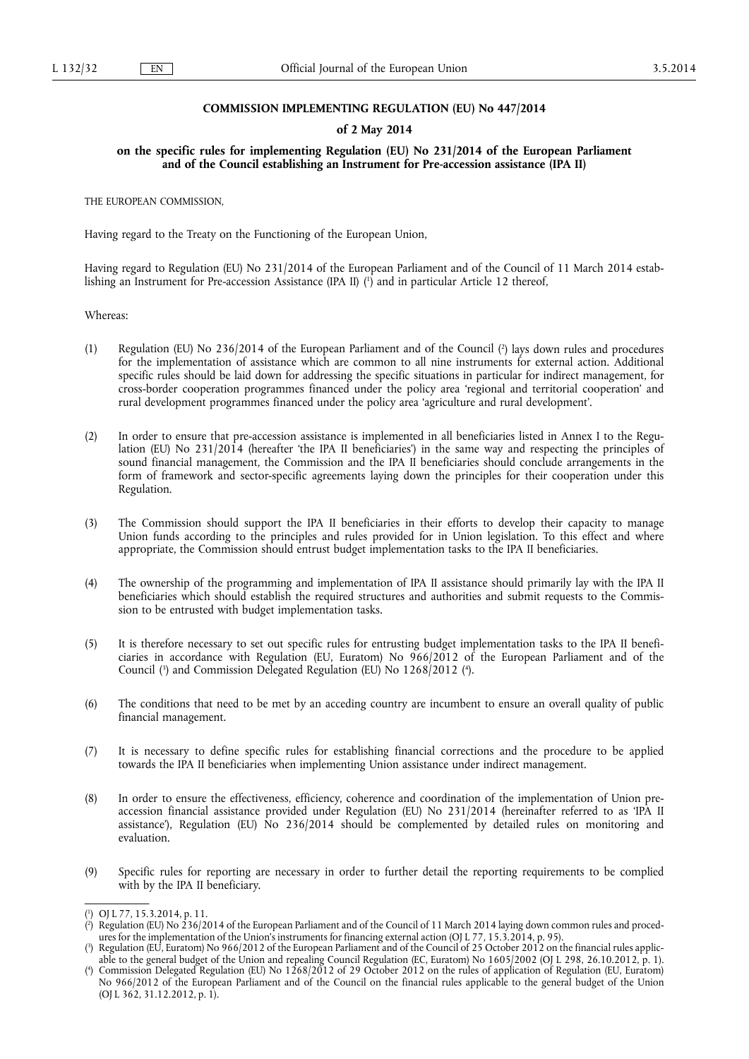## **COMMISSION IMPLEMENTING REGULATION (EU) No 447/2014**

## **of 2 May 2014**

## **on the specific rules for implementing Regulation (EU) No 231/2014 of the European Parliament and of the Council establishing an Instrument for Pre-accession assistance (IPA II)**

THE EUROPEAN COMMISSION,

Having regard to the Treaty on the Functioning of the European Union,

Having regard to Regulation (EU) No 231/2014 of the European Parliament and of the Council of 11 March 2014 establishing an Instrument for Pre-accession Assistance (IPA II) ( 1 ) and in particular Article 12 thereof,

Whereas:

- (1) Regulation (EU) No 236/2014 of the European Parliament and of the Council ( 2 ) lays down rules and procedures for the implementation of assistance which are common to all nine instruments for external action. Additional specific rules should be laid down for addressing the specific situations in particular for indirect management, for cross-border cooperation programmes financed under the policy area 'regional and territorial cooperation' and rural development programmes financed under the policy area 'agriculture and rural development'.
- (2) In order to ensure that pre-accession assistance is implemented in all beneficiaries listed in Annex I to the Regulation (EU) No 231/2014 (hereafter 'the IPA II beneficiaries') in the same way and respecting the principles of sound financial management, the Commission and the IPA II beneficiaries should conclude arrangements in the form of framework and sector-specific agreements laying down the principles for their cooperation under this Regulation.
- (3) The Commission should support the IPA II beneficiaries in their efforts to develop their capacity to manage Union funds according to the principles and rules provided for in Union legislation. To this effect and where appropriate, the Commission should entrust budget implementation tasks to the IPA II beneficiaries.
- (4) The ownership of the programming and implementation of IPA II assistance should primarily lay with the IPA II beneficiaries which should establish the required structures and authorities and submit requests to the Commission to be entrusted with budget implementation tasks.
- (5) It is therefore necessary to set out specific rules for entrusting budget implementation tasks to the IPA II beneficiaries in accordance with Regulation (EU, Euratom) No 966/2012 of the European Parliament and of the Council (3) and Commission Delegated Regulation (EU) No 1268/2012 (4).
- (6) The conditions that need to be met by an acceding country are incumbent to ensure an overall quality of public financial management.
- (7) It is necessary to define specific rules for establishing financial corrections and the procedure to be applied towards the IPA II beneficiaries when implementing Union assistance under indirect management.
- (8) In order to ensure the effectiveness, efficiency, coherence and coordination of the implementation of Union preaccession financial assistance provided under Regulation (EU) No 231/2014 (hereinafter referred to as 'IPA II assistance'), Regulation (EU) No 236/2014 should be complemented by detailed rules on monitoring and evaluation.
- (9) Specific rules for reporting are necessary in order to further detail the reporting requirements to be complied with by the IPA II beneficiary.

<sup>(</sup> 1 ) OJ L 77, 15.3.2014, p. 11.

<sup>(</sup> 2 ) Regulation (EU) No 236/2014 of the European Parliament and of the Council of 11 March 2014 laying down common rules and procedures for the implementation of the Union's instruments for financing external action (OJ L 77, 15.3.2014, p. 95).

<sup>(</sup> 3 ) Regulation (EU, Euratom) No 966/2012 of the European Parliament and of the Council of 25 October 2012 on the financial rules applicable to the general budget of the Union and repealing Council Regulation (EC, Euratom) No 1605/2002 (OJ L 298, 26.10.2012, p. 1).

<sup>(</sup> 4 ) Commission Delegated Regulation (EU) No 1268/2012 of 29 October 2012 on the rules of application of Regulation (EU, Euratom) No 966/2012 of the European Parliament and of the Council on the financial rules applicable to the general budget of the Union (OJ L 362, 31.12.2012, p. 1).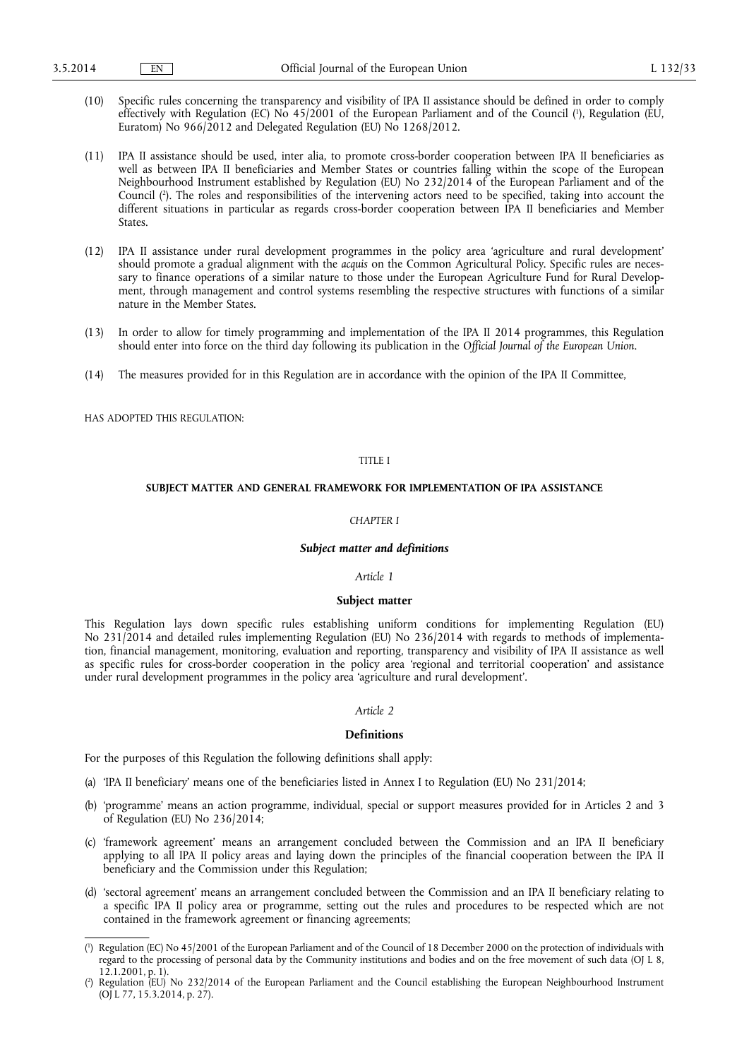- (10) Specific rules concerning the transparency and visibility of IPA II assistance should be defined in order to comply effectively with Regulation (EC) No 45/2001 of the European Parliament and of the Council ( 1 ), Regulation (EU, Euratom) No 966/2012 and Delegated Regulation (EU) No 1268/2012.
- (11) IPA II assistance should be used, inter alia, to promote cross-border cooperation between IPA II beneficiaries as well as between IPA II beneficiaries and Member States or countries falling within the scope of the European Neighbourhood Instrument established by Regulation (EU) No 232/2014 of the European Parliament and of the Council ( 2 ). The roles and responsibilities of the intervening actors need to be specified, taking into account the different situations in particular as regards cross-border cooperation between IPA II beneficiaries and Member States.
- (12) IPA II assistance under rural development programmes in the policy area 'agriculture and rural development' should promote a gradual alignment with the *acquis* on the Common Agricultural Policy. Specific rules are necessary to finance operations of a similar nature to those under the European Agriculture Fund for Rural Development, through management and control systems resembling the respective structures with functions of a similar nature in the Member States.
- (13) In order to allow for timely programming and implementation of the IPA II 2014 programmes, this Regulation should enter into force on the third day following its publication in the *Official Journal of the European Union*.
- (14) The measures provided for in this Regulation are in accordance with the opinion of the IPA II Committee,

HAS ADOPTED THIS REGULATION:

## TITLE I

## **SUBJECT MATTER AND GENERAL FRAMEWORK FOR IMPLEMENTATION OF IPA ASSISTANCE**

## *CHAPTER I*

## *Subject matter and definitions*

#### *Article 1*

# **Subject matter**

This Regulation lays down specific rules establishing uniform conditions for implementing Regulation (EU) No 231/2014 and detailed rules implementing Regulation (EU) No 236/2014 with regards to methods of implementation, financial management, monitoring, evaluation and reporting, transparency and visibility of IPA II assistance as well as specific rules for cross-border cooperation in the policy area 'regional and territorial cooperation' and assistance under rural development programmes in the policy area 'agriculture and rural development'.

#### *Article 2*

## **Definitions**

For the purposes of this Regulation the following definitions shall apply:

- (a) 'IPA II beneficiary' means one of the beneficiaries listed in Annex I to Regulation (EU) No 231/2014;
- (b) 'programme' means an action programme, individual, special or support measures provided for in Articles 2 and 3 of Regulation (EU) No 236/2014;
- (c) 'framework agreement' means an arrangement concluded between the Commission and an IPA II beneficiary applying to all IPA II policy areas and laying down the principles of the financial cooperation between the IPA II beneficiary and the Commission under this Regulation;
- (d) 'sectoral agreement' means an arrangement concluded between the Commission and an IPA II beneficiary relating to a specific IPA II policy area or programme, setting out the rules and procedures to be respected which are not contained in the framework agreement or financing agreements;

<sup>(</sup> 1 ) Regulation (EC) No 45/2001 of the European Parliament and of the Council of 18 December 2000 on the protection of individuals with regard to the processing of personal data by the Community institutions and bodies and on the free movement of such data (OJ L 8,  $12.1.2001, p. 1$ ).

<sup>(</sup> 2 ) Regulation (EU) No 232/2014 of the European Parliament and the Council establishing the European Neighbourhood Instrument (OJ L 77, 15.3.2014, p. 27).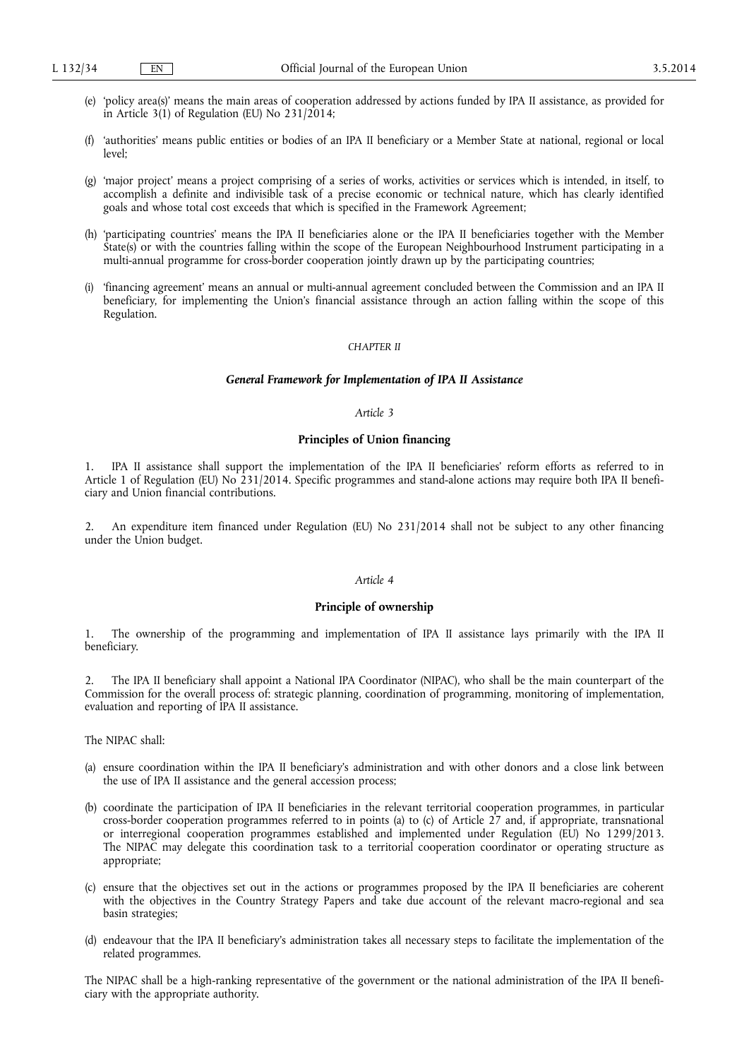- (e) 'policy area(s)' means the main areas of cooperation addressed by actions funded by IPA II assistance, as provided for in Article 3(1) of Regulation (EU) No 231/2014;
- (f) 'authorities' means public entities or bodies of an IPA II beneficiary or a Member State at national, regional or local level;
- (g) 'major project' means a project comprising of a series of works, activities or services which is intended, in itself, to accomplish a definite and indivisible task of a precise economic or technical nature, which has clearly identified goals and whose total cost exceeds that which is specified in the Framework Agreement;
- (h) 'participating countries' means the IPA II beneficiaries alone or the IPA II beneficiaries together with the Member State(s) or with the countries falling within the scope of the European Neighbourhood Instrument participating in a multi-annual programme for cross-border cooperation jointly drawn up by the participating countries;
- (i) 'financing agreement' means an annual or multi-annual agreement concluded between the Commission and an IPA II beneficiary, for implementing the Union's financial assistance through an action falling within the scope of this Regulation.

## *CHAPTER II*

## *General Framework for Implementation of IPA II Assistance*

#### *Article 3*

# **Principles of Union financing**

1. IPA II assistance shall support the implementation of the IPA II beneficiaries' reform efforts as referred to in Article 1 of Regulation (EU) No 231/2014. Specific programmes and stand-alone actions may require both IPA II beneficiary and Union financial contributions.

2. An expenditure item financed under Regulation (EU) No 231/2014 shall not be subject to any other financing under the Union budget.

### *Article 4*

## **Principle of ownership**

1. The ownership of the programming and implementation of IPA II assistance lays primarily with the IPA II beneficiary.

2. The IPA II beneficiary shall appoint a National IPA Coordinator (NIPAC), who shall be the main counterpart of the Commission for the overall process of: strategic planning, coordination of programming, monitoring of implementation, evaluation and reporting of IPA II assistance.

The NIPAC shall:

- (a) ensure coordination within the IPA II beneficiary's administration and with other donors and a close link between the use of IPA II assistance and the general accession process;
- (b) coordinate the participation of IPA II beneficiaries in the relevant territorial cooperation programmes, in particular cross-border cooperation programmes referred to in points (a) to (c) of Article 27 and, if appropriate, transnational or interregional cooperation programmes established and implemented under Regulation (EU) No 1299/2013. The NIPAC may delegate this coordination task to a territorial cooperation coordinator or operating structure as appropriate;
- (c) ensure that the objectives set out in the actions or programmes proposed by the IPA II beneficiaries are coherent with the objectives in the Country Strategy Papers and take due account of the relevant macro-regional and sea basin strategies;
- (d) endeavour that the IPA II beneficiary's administration takes all necessary steps to facilitate the implementation of the related programmes.

The NIPAC shall be a high-ranking representative of the government or the national administration of the IPA II beneficiary with the appropriate authority.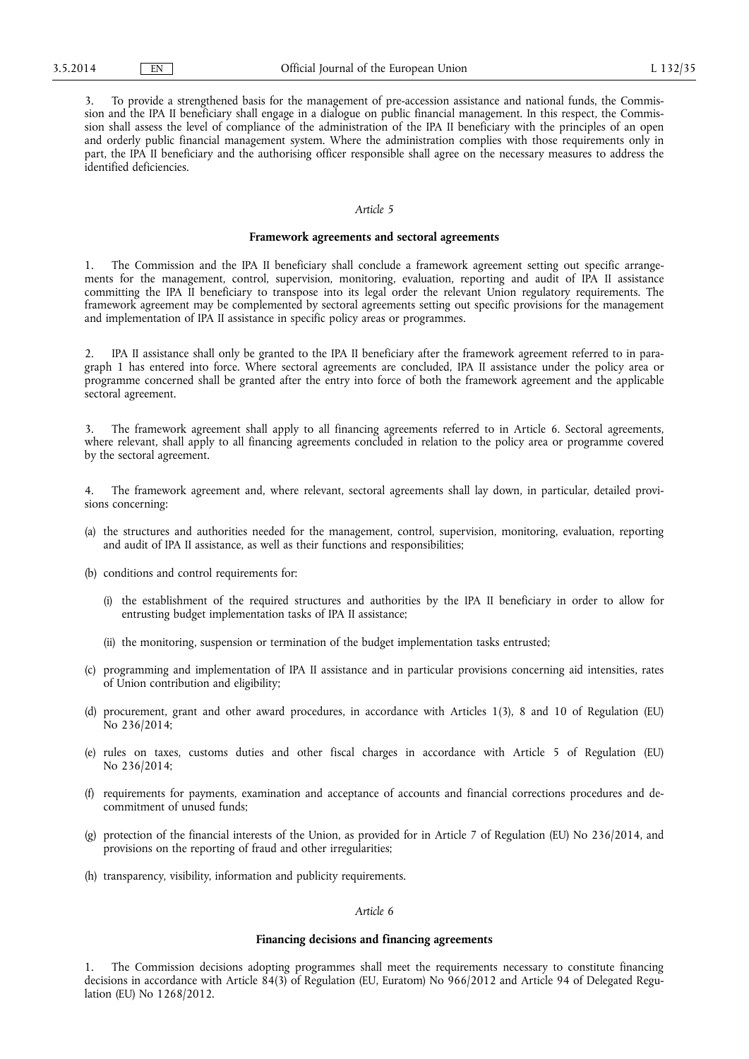3. To provide a strengthened basis for the management of pre-accession assistance and national funds, the Commission and the IPA II beneficiary shall engage in a dialogue on public financial management. In this respect, the Commission shall assess the level of compliance of the administration of the IPA II beneficiary with the principles of an open and orderly public financial management system. Where the administration complies with those requirements only in part, the IPA II beneficiary and the authorising officer responsible shall agree on the necessary measures to address the identified deficiencies.

# *Article 5*

# **Framework agreements and sectoral agreements**

1. The Commission and the IPA II beneficiary shall conclude a framework agreement setting out specific arrangements for the management, control, supervision, monitoring, evaluation, reporting and audit of IPA II assistance committing the IPA II beneficiary to transpose into its legal order the relevant Union regulatory requirements. The framework agreement may be complemented by sectoral agreements setting out specific provisions for the management and implementation of IPA II assistance in specific policy areas or programmes.

2. IPA II assistance shall only be granted to the IPA II beneficiary after the framework agreement referred to in paragraph 1 has entered into force. Where sectoral agreements are concluded, IPA II assistance under the policy area or programme concerned shall be granted after the entry into force of both the framework agreement and the applicable sectoral agreement.

3. The framework agreement shall apply to all financing agreements referred to in Article 6. Sectoral agreements, where relevant, shall apply to all financing agreements concluded in relation to the policy area or programme covered by the sectoral agreement.

4. The framework agreement and, where relevant, sectoral agreements shall lay down, in particular, detailed provisions concerning:

- (a) the structures and authorities needed for the management, control, supervision, monitoring, evaluation, reporting and audit of IPA II assistance, as well as their functions and responsibilities;
- (b) conditions and control requirements for:
	- (i) the establishment of the required structures and authorities by the IPA II beneficiary in order to allow for entrusting budget implementation tasks of IPA II assistance;
	- (ii) the monitoring, suspension or termination of the budget implementation tasks entrusted;
- (c) programming and implementation of IPA II assistance and in particular provisions concerning aid intensities, rates of Union contribution and eligibility;
- (d) procurement, grant and other award procedures, in accordance with Articles 1(3), 8 and 10 of Regulation (EU) No 236/2014;
- (e) rules on taxes, customs duties and other fiscal charges in accordance with Article 5 of Regulation (EU) No 236/2014;
- (f) requirements for payments, examination and acceptance of accounts and financial corrections procedures and decommitment of unused funds;
- (g) protection of the financial interests of the Union, as provided for in Article 7 of Regulation (EU) No 236/2014, and provisions on the reporting of fraud and other irregularities;
- (h) transparency, visibility, information and publicity requirements.

## *Article 6*

## **Financing decisions and financing agreements**

1. The Commission decisions adopting programmes shall meet the requirements necessary to constitute financing decisions in accordance with Article 84(3) of Regulation (EU, Euratom) No 966/2012 and Article 94 of Delegated Regulation (EU) No 1268/2012.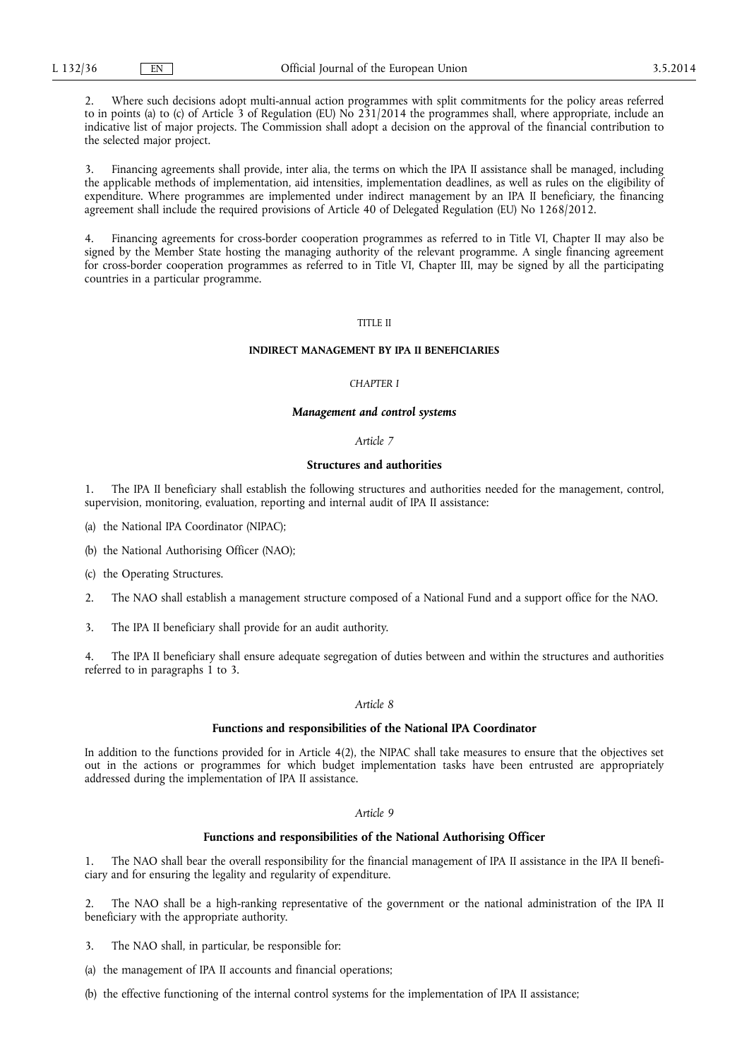2. Where such decisions adopt multi-annual action programmes with split commitments for the policy areas referred to in points (a) to (c) of Article 3 of Regulation (EU) No 231/2014 the programmes shall, where appropriate, include an indicative list of major projects. The Commission shall adopt a decision on the approval of the financial contribution to the selected major project.

3. Financing agreements shall provide, inter alia, the terms on which the IPA II assistance shall be managed, including the applicable methods of implementation, aid intensities, implementation deadlines, as well as rules on the eligibility of expenditure. Where programmes are implemented under indirect management by an IPA II beneficiary, the financing agreement shall include the required provisions of Article 40 of Delegated Regulation (EU) No 1268/2012.

4. Financing agreements for cross-border cooperation programmes as referred to in Title VI, Chapter II may also be signed by the Member State hosting the managing authority of the relevant programme. A single financing agreement for cross-border cooperation programmes as referred to in Title VI, Chapter III, may be signed by all the participating countries in a particular programme.

# TITLE II

## **INDIRECT MANAGEMENT BY IPA II BENEFICIARIES**

#### *CHAPTER I*

#### *Management and control systems*

#### *Article 7*

#### **Structures and authorities**

1. The IPA II beneficiary shall establish the following structures and authorities needed for the management, control, supervision, monitoring, evaluation, reporting and internal audit of IPA II assistance:

- (a) the National IPA Coordinator (NIPAC);
- (b) the National Authorising Officer (NAO);
- (c) the Operating Structures.
- 2. The NAO shall establish a management structure composed of a National Fund and a support office for the NAO.
- 3. The IPA II beneficiary shall provide for an audit authority.

4. The IPA II beneficiary shall ensure adequate segregation of duties between and within the structures and authorities referred to in paragraphs  $\overline{1}$  to 3.

#### *Article 8*

## **Functions and responsibilities of the National IPA Coordinator**

In addition to the functions provided for in Article 4(2), the NIPAC shall take measures to ensure that the objectives set out in the actions or programmes for which budget implementation tasks have been entrusted are appropriately addressed during the implementation of IPA II assistance.

#### *Article 9*

## **Functions and responsibilities of the National Authorising Officer**

1. The NAO shall bear the overall responsibility for the financial management of IPA II assistance in the IPA II beneficiary and for ensuring the legality and regularity of expenditure.

2. The NAO shall be a high-ranking representative of the government or the national administration of the IPA II beneficiary with the appropriate authority.

- 3. The NAO shall, in particular, be responsible for:
- (a) the management of IPA II accounts and financial operations;
- (b) the effective functioning of the internal control systems for the implementation of IPA II assistance;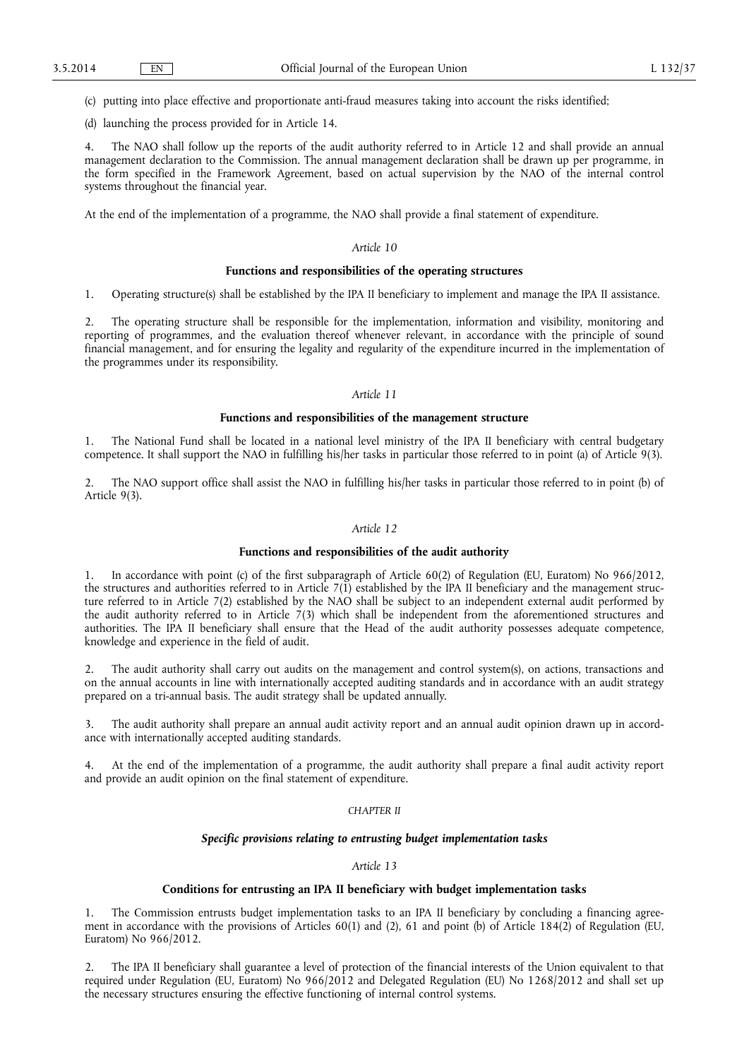(c) putting into place effective and proportionate anti-fraud measures taking into account the risks identified;

(d) launching the process provided for in Article 14.

The NAO shall follow up the reports of the audit authority referred to in Article 12 and shall provide an annual management declaration to the Commission. The annual management declaration shall be drawn up per programme, in the form specified in the Framework Agreement, based on actual supervision by the NAO of the internal control systems throughout the financial year.

At the end of the implementation of a programme, the NAO shall provide a final statement of expenditure.

## *Article 10*

## **Functions and responsibilities of the operating structures**

1. Operating structure(s) shall be established by the IPA II beneficiary to implement and manage the IPA II assistance.

2. The operating structure shall be responsible for the implementation, information and visibility, monitoring and reporting of programmes, and the evaluation thereof whenever relevant, in accordance with the principle of sound financial management, and for ensuring the legality and regularity of the expenditure incurred in the implementation of the programmes under its responsibility.

#### *Article 11*

## **Functions and responsibilities of the management structure**

1. The National Fund shall be located in a national level ministry of the IPA II beneficiary with central budgetary competence. It shall support the NAO in fulfilling his/her tasks in particular those referred to in point (a) of Article 9(3).

2. The NAO support office shall assist the NAO in fulfilling his/her tasks in particular those referred to in point (b) of Article 9(3).

## *Article 12*

## **Functions and responsibilities of the audit authority**

1. In accordance with point (c) of the first subparagraph of Article 60(2) of Regulation (EU, Euratom) No 966/2012, the structures and authorities referred to in Article  $7(1)$  established by the IPA II beneficiary and the management structure referred to in Article 7(2) established by the NAO shall be subject to an independent external audit performed by the audit authority referred to in Article  $7(3)$  which shall be independent from the aforementioned structures and authorities. The IPA II beneficiary shall ensure that the Head of the audit authority possesses adequate competence, knowledge and experience in the field of audit.

2. The audit authority shall carry out audits on the management and control system(s), on actions, transactions and on the annual accounts in line with internationally accepted auditing standards and in accordance with an audit strategy prepared on a tri-annual basis. The audit strategy shall be updated annually.

The audit authority shall prepare an annual audit activity report and an annual audit opinion drawn up in accordance with internationally accepted auditing standards.

4. At the end of the implementation of a programme, the audit authority shall prepare a final audit activity report and provide an audit opinion on the final statement of expenditure.

#### *CHAPTER II*

## *Specific provisions relating to entrusting budget implementation tasks*

#### *Article 13*

### **Conditions for entrusting an IPA II beneficiary with budget implementation tasks**

1. The Commission entrusts budget implementation tasks to an IPA II beneficiary by concluding a financing agreement in accordance with the provisions of Articles 60(1) and (2), 61 and point (b) of Article 184(2) of Regulation (EU, Euratom) No 966/2012.

2. The IPA II beneficiary shall guarantee a level of protection of the financial interests of the Union equivalent to that required under Regulation (EU, Euratom) No 966/2012 and Delegated Regulation (EU) No 1268/2012 and shall set up the necessary structures ensuring the effective functioning of internal control systems.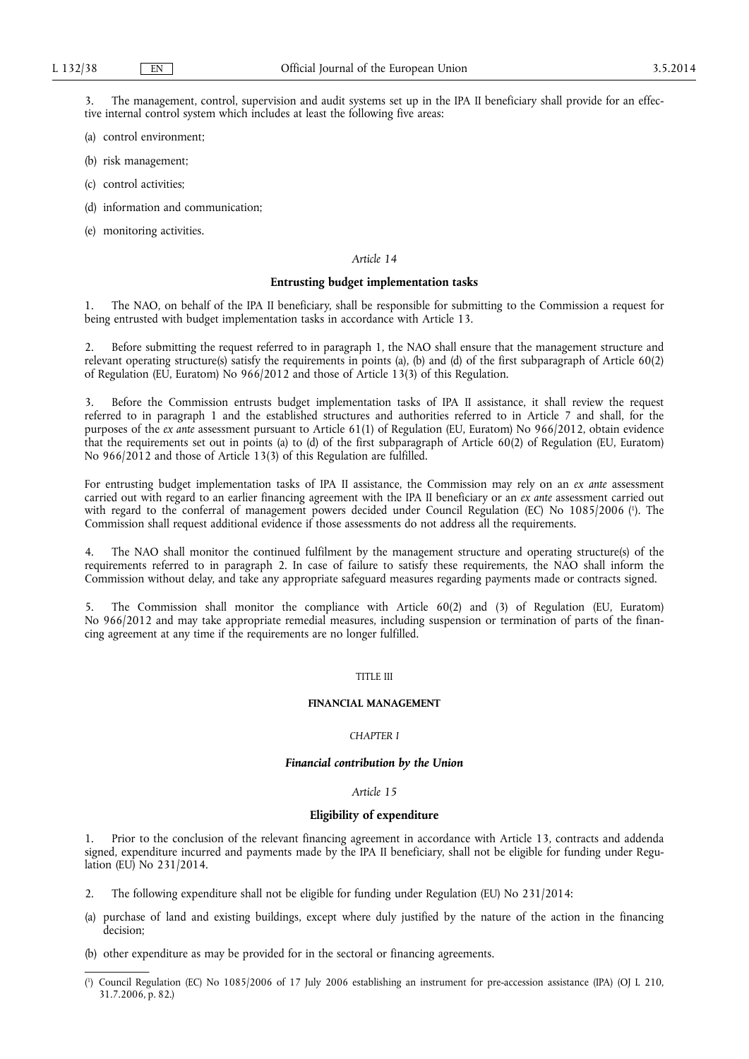3. The management, control, supervision and audit systems set up in the IPA II beneficiary shall provide for an effective internal control system which includes at least the following five areas:

- (a) control environment;
- (b) risk management;
- (c) control activities;
- (d) information and communication;
- (e) monitoring activities.

## *Article 14*

## **Entrusting budget implementation tasks**

1. The NAO, on behalf of the IPA II beneficiary, shall be responsible for submitting to the Commission a request for being entrusted with budget implementation tasks in accordance with Article 13.

2. Before submitting the request referred to in paragraph 1, the NAO shall ensure that the management structure and relevant operating structure(s) satisfy the requirements in points (a), (b) and (d) of the first subparagraph of Article 60(2) of Regulation (EU, Euratom) No 966/2012 and those of Article 13(3) of this Regulation.

3. Before the Commission entrusts budget implementation tasks of IPA II assistance, it shall review the request referred to in paragraph 1 and the established structures and authorities referred to in Article 7 and shall, for the purposes of the *ex ante* assessment pursuant to Article 61(1) of Regulation (EU, Euratom) No 966/2012, obtain evidence that the requirements set out in points (a) to (d) of the first subparagraph of Article 60(2) of Regulation (EU, Euratom) No 966/2012 and those of Article 13(3) of this Regulation are fulfilled.

For entrusting budget implementation tasks of IPA II assistance, the Commission may rely on an *ex ante* assessment carried out with regard to an earlier financing agreement with the IPA II beneficiary or an *ex ante* assessment carried out with regard to the conferral of management powers decided under Council Regulation (EC) No 1085/2006 ( 1 ). The Commission shall request additional evidence if those assessments do not address all the requirements.

4. The NAO shall monitor the continued fulfilment by the management structure and operating structure(s) of the requirements referred to in paragraph 2. In case of failure to satisfy these requirements, the NAO shall inform the Commission without delay, and take any appropriate safeguard measures regarding payments made or contracts signed.

5. The Commission shall monitor the compliance with Article 60(2) and (3) of Regulation (EU, Euratom) No 966/2012 and may take appropriate remedial measures, including suspension or termination of parts of the financing agreement at any time if the requirements are no longer fulfilled.

#### TITLE III

#### **FINANCIAL MANAGEMENT**

## *CHAPTER I*

## *Financial contribution by the Union*

## *Article 15*

## **Eligibility of expenditure**

1. Prior to the conclusion of the relevant financing agreement in accordance with Article 13, contracts and addenda signed, expenditure incurred and payments made by the IPA II beneficiary, shall not be eligible for funding under Regulation (EU) No 231/2014.

- 2. The following expenditure shall not be eligible for funding under Regulation (EU) No 231/2014:
- (a) purchase of land and existing buildings, except where duly justified by the nature of the action in the financing decision;
- (b) other expenditure as may be provided for in the sectoral or financing agreements.

<sup>(</sup> 1 ) Council Regulation (EC) No 1085/2006 of 17 July 2006 establishing an instrument for pre-accession assistance (IPA) (OJ L 210, 31.7.2006, p. 82.)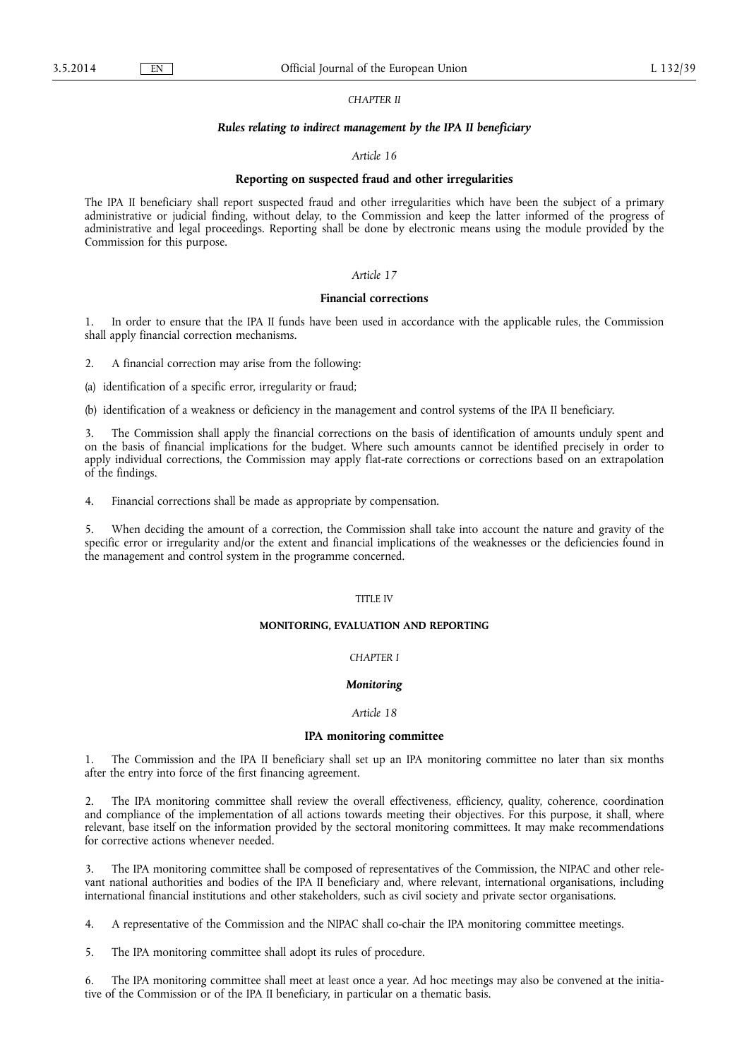## *CHAPTER II*

#### *Rules relating to indirect management by the IPA II beneficiary*

#### *Article 16*

## **Reporting on suspected fraud and other irregularities**

The IPA II beneficiary shall report suspected fraud and other irregularities which have been the subject of a primary administrative or judicial finding, without delay, to the Commission and keep the latter informed of the progress of administrative and legal proceedings. Reporting shall be done by electronic means using the module provided by the Commission for this purpose.

## *Article 17*

### **Financial corrections**

1. In order to ensure that the IPA II funds have been used in accordance with the applicable rules, the Commission shall apply financial correction mechanisms.

2. A financial correction may arise from the following:

(a) identification of a specific error, irregularity or fraud;

(b) identification of a weakness or deficiency in the management and control systems of the IPA II beneficiary.

3. The Commission shall apply the financial corrections on the basis of identification of amounts unduly spent and on the basis of financial implications for the budget. Where such amounts cannot be identified precisely in order to apply individual corrections, the Commission may apply flat-rate corrections or corrections based on an extrapolation of the findings.

4. Financial corrections shall be made as appropriate by compensation.

5. When deciding the amount of a correction, the Commission shall take into account the nature and gravity of the specific error or irregularity and/or the extent and financial implications of the weaknesses or the deficiencies found in the management and control system in the programme concerned.

#### TITLE IV

## **MONITORING, EVALUATION AND REPORTING**

## *CHAPTER I*

## *Monitoring*

## *Article 18*

## **IPA monitoring committee**

1. The Commission and the IPA II beneficiary shall set up an IPA monitoring committee no later than six months after the entry into force of the first financing agreement.

2. The IPA monitoring committee shall review the overall effectiveness, efficiency, quality, coherence, coordination and compliance of the implementation of all actions towards meeting their objectives. For this purpose, it shall, where relevant, base itself on the information provided by the sectoral monitoring committees. It may make recommendations for corrective actions whenever needed.

3. The IPA monitoring committee shall be composed of representatives of the Commission, the NIPAC and other relevant national authorities and bodies of the IPA II beneficiary and, where relevant, international organisations, including international financial institutions and other stakeholders, such as civil society and private sector organisations.

4. A representative of the Commission and the NIPAC shall co-chair the IPA monitoring committee meetings.

5. The IPA monitoring committee shall adopt its rules of procedure.

6. The IPA monitoring committee shall meet at least once a year. Ad hoc meetings may also be convened at the initiative of the Commission or of the IPA II beneficiary, in particular on a thematic basis.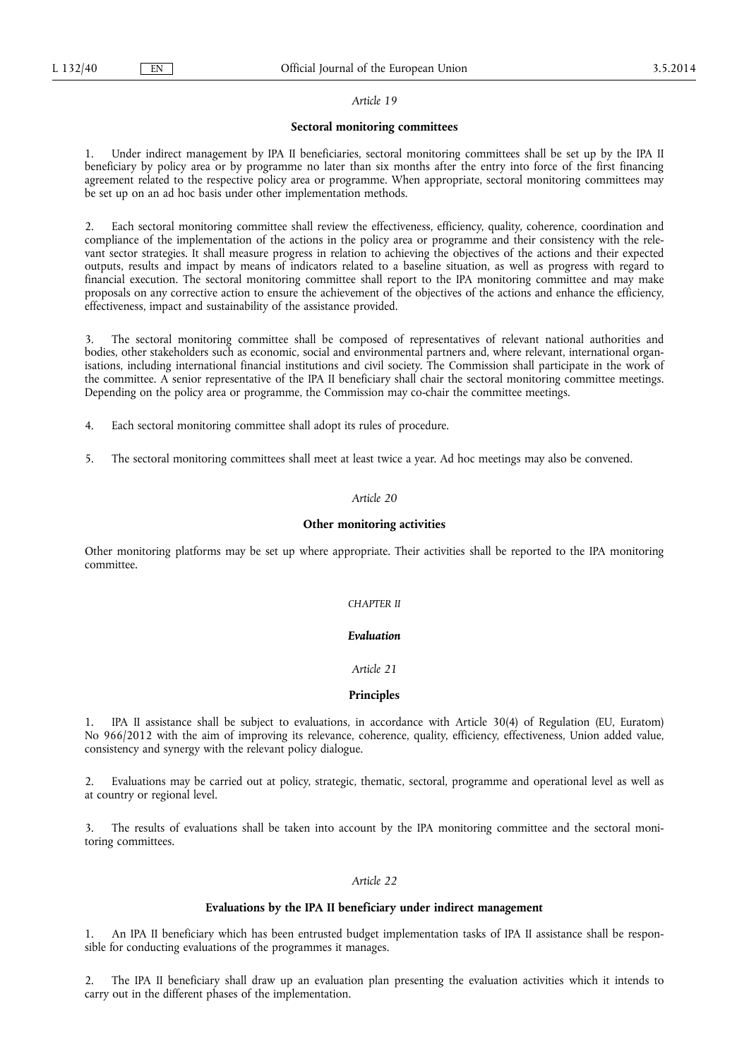#### *Article 19*

## **Sectoral monitoring committees**

1. Under indirect management by IPA II beneficiaries, sectoral monitoring committees shall be set up by the IPA II beneficiary by policy area or by programme no later than six months after the entry into force of the first financing agreement related to the respective policy area or programme. When appropriate, sectoral monitoring committees may be set up on an ad hoc basis under other implementation methods.

2. Each sectoral monitoring committee shall review the effectiveness, efficiency, quality, coherence, coordination and compliance of the implementation of the actions in the policy area or programme and their consistency with the relevant sector strategies. It shall measure progress in relation to achieving the objectives of the actions and their expected outputs, results and impact by means of indicators related to a baseline situation, as well as progress with regard to financial execution. The sectoral monitoring committee shall report to the IPA monitoring committee and may make proposals on any corrective action to ensure the achievement of the objectives of the actions and enhance the efficiency, effectiveness, impact and sustainability of the assistance provided.

3. The sectoral monitoring committee shall be composed of representatives of relevant national authorities and bodies, other stakeholders such as economic, social and environmental partners and, where relevant, international organisations, including international financial institutions and civil society. The Commission shall participate in the work of the committee. A senior representative of the IPA II beneficiary shall chair the sectoral monitoring committee meetings. Depending on the policy area or programme, the Commission may co-chair the committee meetings.

- 4. Each sectoral monitoring committee shall adopt its rules of procedure.
- 5. The sectoral monitoring committees shall meet at least twice a year. Ad hoc meetings may also be convened.

#### *Article 20*

#### **Other monitoring activities**

Other monitoring platforms may be set up where appropriate. Their activities shall be reported to the IPA monitoring committee.

## *CHAPTER II*

## *Evaluation*

## *Article 21*

# **Principles**

1. IPA II assistance shall be subject to evaluations, in accordance with Article 30(4) of Regulation (EU, Euratom) No 966/2012 with the aim of improving its relevance, coherence, quality, efficiency, effectiveness, Union added value, consistency and synergy with the relevant policy dialogue.

Evaluations may be carried out at policy, strategic, thematic, sectoral, programme and operational level as well as at country or regional level.

3. The results of evaluations shall be taken into account by the IPA monitoring committee and the sectoral monitoring committees.

#### *Article 22*

## **Evaluations by the IPA II beneficiary under indirect management**

1. An IPA II beneficiary which has been entrusted budget implementation tasks of IPA II assistance shall be responsible for conducting evaluations of the programmes it manages.

2. The IPA II beneficiary shall draw up an evaluation plan presenting the evaluation activities which it intends to carry out in the different phases of the implementation.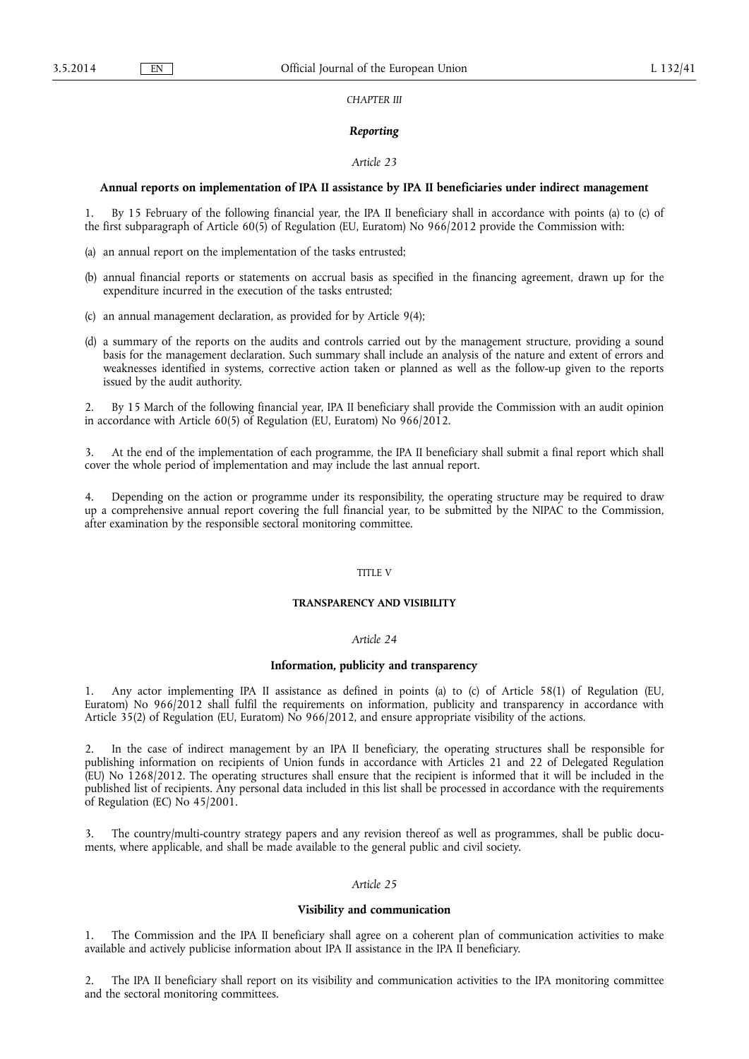## *CHAPTER III*

# *Reporting*

#### *Article 23*

#### **Annual reports on implementation of IPA II assistance by IPA II beneficiaries under indirect management**

1. By 15 February of the following financial year, the IPA II beneficiary shall in accordance with points (a) to (c) of the first subparagraph of Article 60(5) of Regulation (EU, Euratom) No 966/2012 provide the Commission with:

- (a) an annual report on the implementation of the tasks entrusted;
- (b) annual financial reports or statements on accrual basis as specified in the financing agreement, drawn up for the expenditure incurred in the execution of the tasks entrusted;
- (c) an annual management declaration, as provided for by Article 9(4);
- (d) a summary of the reports on the audits and controls carried out by the management structure, providing a sound basis for the management declaration. Such summary shall include an analysis of the nature and extent of errors and weaknesses identified in systems, corrective action taken or planned as well as the follow-up given to the reports issued by the audit authority.

2. By 15 March of the following financial year, IPA II beneficiary shall provide the Commission with an audit opinion in accordance with Article 60(5) of Regulation (EU, Euratom) No 966/2012.

3. At the end of the implementation of each programme, the IPA II beneficiary shall submit a final report which shall cover the whole period of implementation and may include the last annual report.

Depending on the action or programme under its responsibility, the operating structure may be required to draw up a comprehensive annual report covering the full financial year, to be submitted by the NIPAC to the Commission, after examination by the responsible sectoral monitoring committee.

## TITLE V

#### **TRANSPARENCY AND VISIBILITY**

## *Article 24*

## **Information, publicity and transparency**

1. Any actor implementing IPA II assistance as defined in points (a) to (c) of Article 58(1) of Regulation (EU, Euratom) No 966/2012 shall fulfil the requirements on information, publicity and transparency in accordance with Article 35(2) of Regulation (EU, Euratom) No 966/2012, and ensure appropriate visibility of the actions.

2. In the case of indirect management by an IPA II beneficiary, the operating structures shall be responsible for publishing information on recipients of Union funds in accordance with Articles 21 and 22 of Delegated Regulation (EU) No 1268/2012. The operating structures shall ensure that the recipient is informed that it will be included in the published list of recipients. Any personal data included in this list shall be processed in accordance with the requirements of Regulation (EC) No 45/2001.

3. The country/multi-country strategy papers and any revision thereof as well as programmes, shall be public documents, where applicable, and shall be made available to the general public and civil society.

# *Article 25*

### **Visibility and communication**

The Commission and the IPA II beneficiary shall agree on a coherent plan of communication activities to make available and actively publicise information about IPA II assistance in the IPA II beneficiary.

2. The IPA II beneficiary shall report on its visibility and communication activities to the IPA monitoring committee and the sectoral monitoring committees.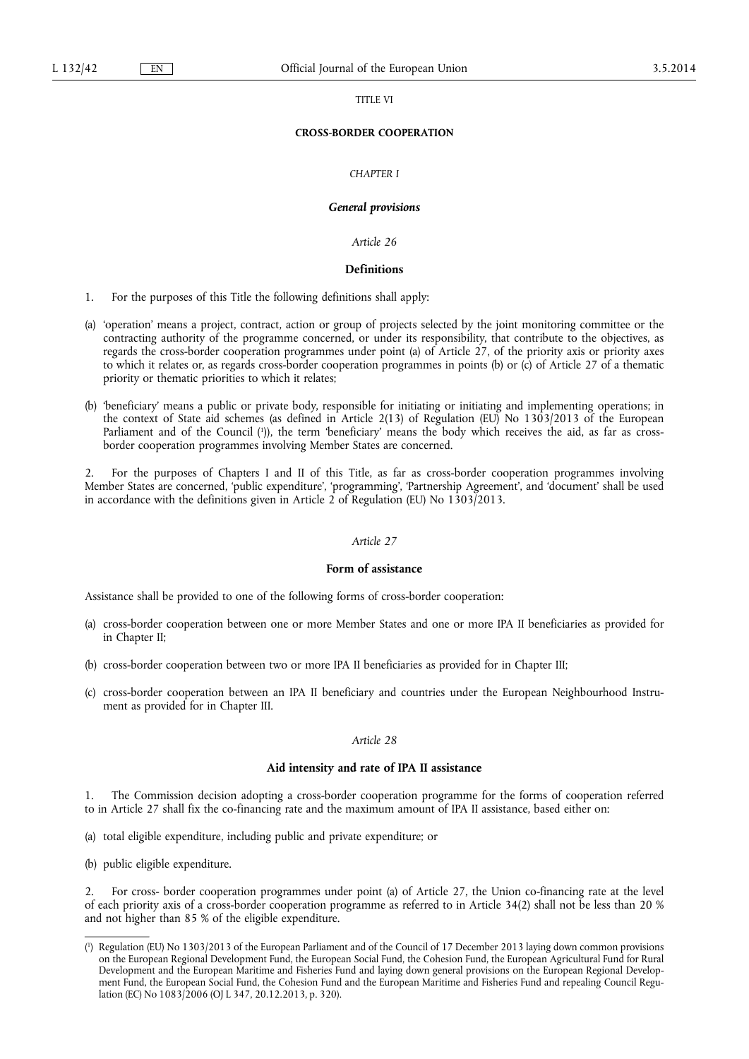#### TITLE VI

## **CROSS-BORDER COOPERATION**

## *CHAPTER I*

#### *General provisions*

*Article 26* 

## **Definitions**

1. For the purposes of this Title the following definitions shall apply:

- (a) 'operation' means a project, contract, action or group of projects selected by the joint monitoring committee or the contracting authority of the programme concerned, or under its responsibility, that contribute to the objectives, as regards the cross-border cooperation programmes under point (a) of Article 27, of the priority axis or priority axes to which it relates or, as regards cross-border cooperation programmes in points (b) or (c) of Article 27 of a thematic priority or thematic priorities to which it relates;
- (b) 'beneficiary' means a public or private body, responsible for initiating or initiating and implementing operations; in the context of State aid schemes (as defined in Article 2(13) of Regulation (EU) No 1303/2013 of the European Parliament and of the Council ( 1 )), the term 'beneficiary' means the body which receives the aid, as far as crossborder cooperation programmes involving Member States are concerned.

2. For the purposes of Chapters I and II of this Title, as far as cross-border cooperation programmes involving Member States are concerned, 'public expenditure', 'programming', 'Partnership Agreement', and 'document' shall be used in accordance with the definitions given in Article 2 of Regulation (EU) No 1303/2013.

#### *Article 27*

## **Form of assistance**

Assistance shall be provided to one of the following forms of cross-border cooperation:

- (a) cross-border cooperation between one or more Member States and one or more IPA II beneficiaries as provided for in Chapter II;
- (b) cross-border cooperation between two or more IPA II beneficiaries as provided for in Chapter III;
- (c) cross-border cooperation between an IPA II beneficiary and countries under the European Neighbourhood Instrument as provided for in Chapter III.

## *Article 28*

#### **Aid intensity and rate of IPA II assistance**

1. The Commission decision adopting a cross-border cooperation programme for the forms of cooperation referred to in Article 27 shall fix the co-financing rate and the maximum amount of IPA II assistance, based either on:

- (a) total eligible expenditure, including public and private expenditure; or
- (b) public eligible expenditure.

2. For cross- border cooperation programmes under point (a) of Article 27, the Union co-financing rate at the level of each priority axis of a cross-border cooperation programme as referred to in Article 34(2) shall not be less than 20 % and not higher than 85 % of the eligible expenditure.

<sup>(</sup> 1 ) Regulation (EU) No 1303/2013 of the European Parliament and of the Council of 17 December 2013 laying down common provisions on the European Regional Development Fund, the European Social Fund, the Cohesion Fund, the European Agricultural Fund for Rural Development and the European Maritime and Fisheries Fund and laying down general provisions on the European Regional Development Fund, the European Social Fund, the Cohesion Fund and the European Maritime and Fisheries Fund and repealing Council Regulation (EC) No 1083/2006 (OJ L 347, 20.12.2013, p. 320).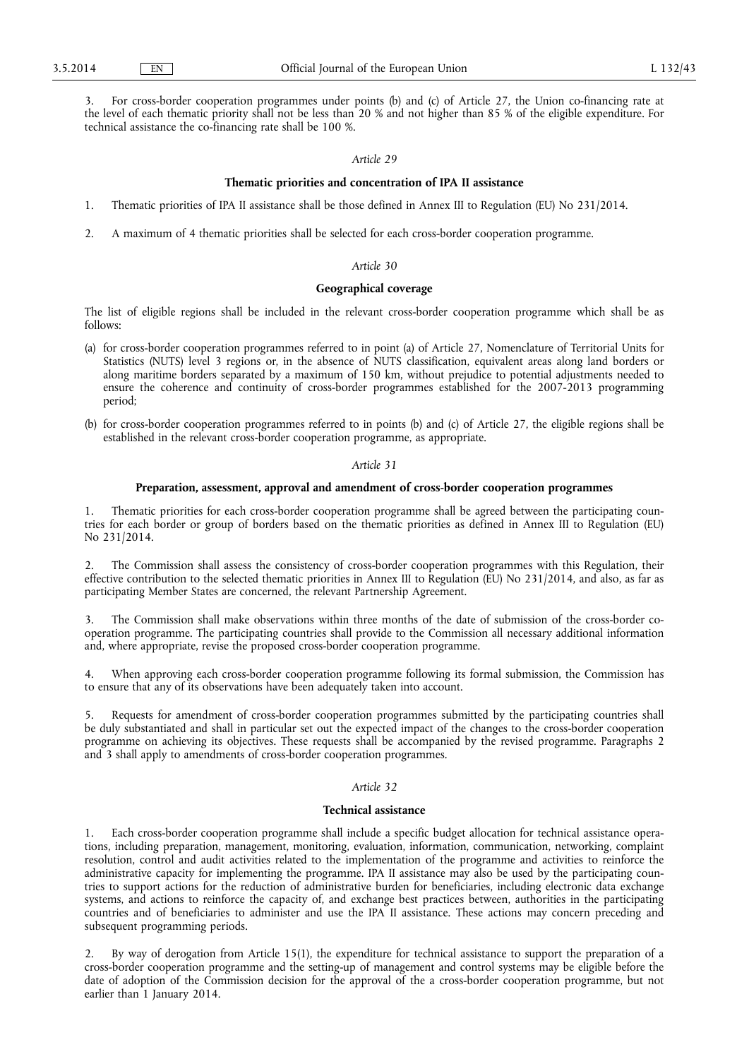3. For cross-border cooperation programmes under points (b) and (c) of Article 27, the Union co-financing rate at the level of each thematic priority shall not be less than 20 % and not higher than 85 % of the eligible expenditure. For technical assistance the co-financing rate shall be 100 %.

## *Article 29*

#### **Thematic priorities and concentration of IPA II assistance**

- 1. Thematic priorities of IPA II assistance shall be those defined in Annex III to Regulation (EU) No 231/2014.
- 2. A maximum of 4 thematic priorities shall be selected for each cross-border cooperation programme.

## *Article 30*

## **Geographical coverage**

The list of eligible regions shall be included in the relevant cross-border cooperation programme which shall be as follows:

- (a) for cross-border cooperation programmes referred to in point (a) of Article 27, Nomenclature of Territorial Units for Statistics (NUTS) level 3 regions or, in the absence of NUTS classification, equivalent areas along land borders or along maritime borders separated by a maximum of 150 km, without prejudice to potential adjustments needed to ensure the coherence and continuity of cross-border programmes established for the 2007-2013 programming period;
- (b) for cross-border cooperation programmes referred to in points (b) and (c) of Article 27, the eligible regions shall be established in the relevant cross-border cooperation programme, as appropriate.

## *Article 31*

# **Preparation, assessment, approval and amendment of cross-border cooperation programmes**

1. Thematic priorities for each cross-border cooperation programme shall be agreed between the participating countries for each border or group of borders based on the thematic priorities as defined in Annex III to Regulation (EU) No 231/2014.

2. The Commission shall assess the consistency of cross-border cooperation programmes with this Regulation, their effective contribution to the selected thematic priorities in Annex III to Regulation (EU) No 231/2014, and also, as far as participating Member States are concerned, the relevant Partnership Agreement.

3. The Commission shall make observations within three months of the date of submission of the cross-border cooperation programme. The participating countries shall provide to the Commission all necessary additional information and, where appropriate, revise the proposed cross-border cooperation programme.

4. When approving each cross-border cooperation programme following its formal submission, the Commission has to ensure that any of its observations have been adequately taken into account.

5. Requests for amendment of cross-border cooperation programmes submitted by the participating countries shall be duly substantiated and shall in particular set out the expected impact of the changes to the cross-border cooperation programme on achieving its objectives. These requests shall be accompanied by the revised programme. Paragraphs 2 and 3 shall apply to amendments of cross-border cooperation programmes.

## *Article 32*

#### **Technical assistance**

1. Each cross-border cooperation programme shall include a specific budget allocation for technical assistance operations, including preparation, management, monitoring, evaluation, information, communication, networking, complaint resolution, control and audit activities related to the implementation of the programme and activities to reinforce the administrative capacity for implementing the programme. IPA II assistance may also be used by the participating countries to support actions for the reduction of administrative burden for beneficiaries, including electronic data exchange systems, and actions to reinforce the capacity of, and exchange best practices between, authorities in the participating countries and of beneficiaries to administer and use the IPA II assistance. These actions may concern preceding and subsequent programming periods.

2. By way of derogation from Article 15(1), the expenditure for technical assistance to support the preparation of a cross-border cooperation programme and the setting-up of management and control systems may be eligible before the date of adoption of the Commission decision for the approval of the a cross-border cooperation programme, but not earlier than 1 January 2014.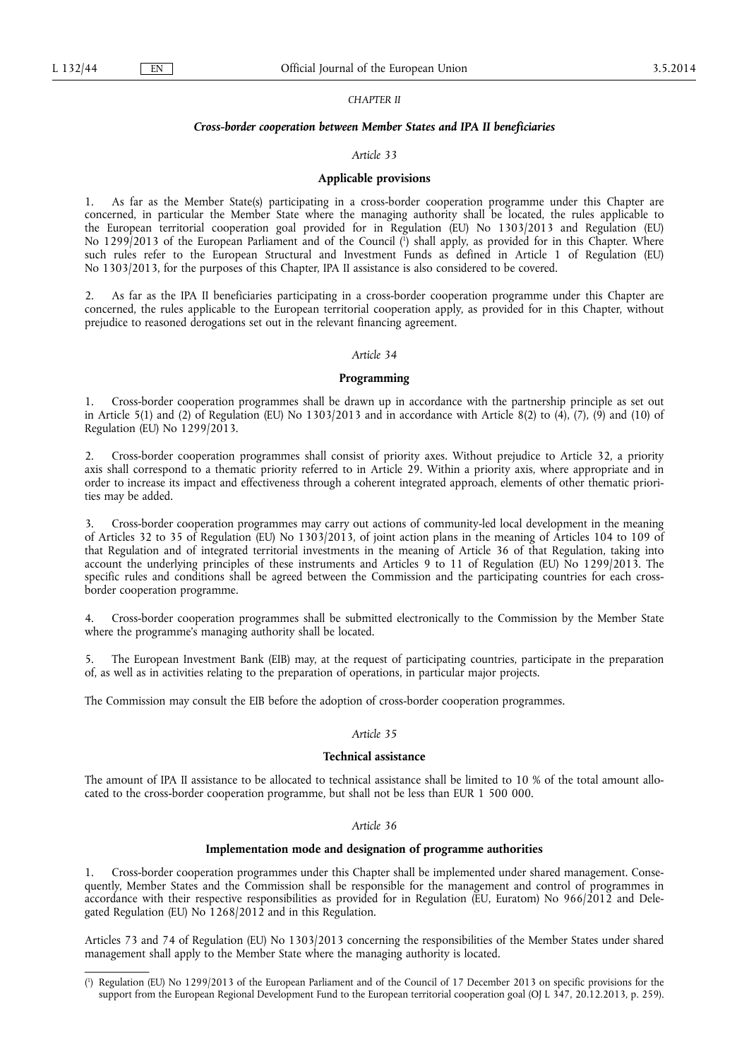### *CHAPTER II*

#### *Cross-border cooperation between Member States and IPA II beneficiaries*

## *Article 33*

#### **Applicable provisions**

1. As far as the Member State(s) participating in a cross-border cooperation programme under this Chapter are concerned, in particular the Member State where the managing authority shall be located, the rules applicable to the European territorial cooperation goal provided for in Regulation (EU) No 1303/2013 and Regulation (EU) No 1299/2013 of the European Parliament and of the Council ( 1 ) shall apply, as provided for in this Chapter. Where such rules refer to the European Structural and Investment Funds as defined in Article 1 of Regulation (EU) No 1303/2013, for the purposes of this Chapter, IPA II assistance is also considered to be covered.

2. As far as the IPA II beneficiaries participating in a cross-border cooperation programme under this Chapter are concerned, the rules applicable to the European territorial cooperation apply, as provided for in this Chapter, without prejudice to reasoned derogations set out in the relevant financing agreement.

#### *Article 34*

### **Programming**

1. Cross-border cooperation programmes shall be drawn up in accordance with the partnership principle as set out in Article 5(1) and (2) of Regulation (EU) No 1303/2013 and in accordance with Article 8(2) to (4), (7), (9) and (10) of Regulation (EU) No 1299/2013.

2. Cross-border cooperation programmes shall consist of priority axes. Without prejudice to Article 32, a priority axis shall correspond to a thematic priority referred to in Article 29. Within a priority axis, where appropriate and in order to increase its impact and effectiveness through a coherent integrated approach, elements of other thematic priorities may be added.

3. Cross-border cooperation programmes may carry out actions of community-led local development in the meaning of Articles 32 to 35 of Regulation (EU) No 1303/2013, of joint action plans in the meaning of Articles 104 to 109 of that Regulation and of integrated territorial investments in the meaning of Article 36 of that Regulation, taking into account the underlying principles of these instruments and Articles 9 to 11 of Regulation (EU) No 1299/2013. The specific rules and conditions shall be agreed between the Commission and the participating countries for each crossborder cooperation programme.

4. Cross-border cooperation programmes shall be submitted electronically to the Commission by the Member State where the programme's managing authority shall be located.

5. The European Investment Bank (EIB) may, at the request of participating countries, participate in the preparation of, as well as in activities relating to the preparation of operations, in particular major projects.

The Commission may consult the EIB before the adoption of cross-border cooperation programmes.

## *Article 35*

## **Technical assistance**

The amount of IPA II assistance to be allocated to technical assistance shall be limited to 10 % of the total amount allocated to the cross-border cooperation programme, but shall not be less than EUR 1 500 000.

### *Article 36*

## **Implementation mode and designation of programme authorities**

1. Cross-border cooperation programmes under this Chapter shall be implemented under shared management. Consequently, Member States and the Commission shall be responsible for the management and control of programmes in accordance with their respective responsibilities as provided for in Regulation (EU, Euratom) No 966/2012 and Delegated Regulation (EU) No 1268/2012 and in this Regulation.

Articles 73 and 74 of Regulation (EU) No 1303/2013 concerning the responsibilities of the Member States under shared management shall apply to the Member State where the managing authority is located.

<sup>(</sup> 1 ) Regulation (EU) No 1299/2013 of the European Parliament and of the Council of 17 December 2013 on specific provisions for the support from the European Regional Development Fund to the European territorial cooperation goal (OJ L 347, 20.12.2013, p. 259).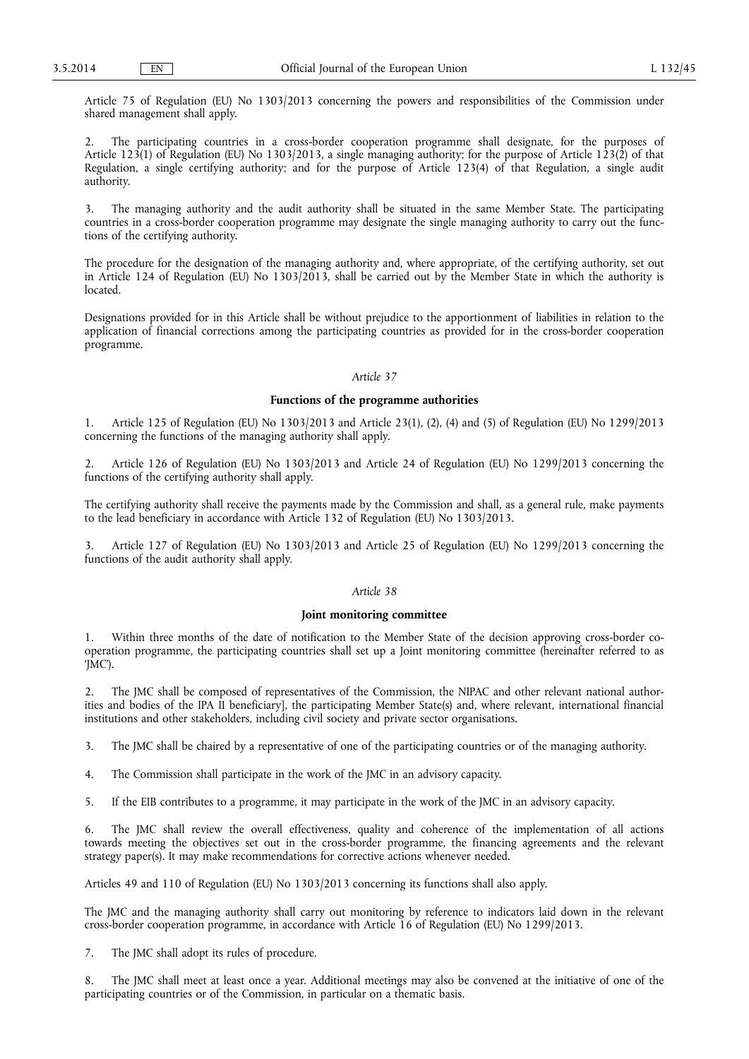Article 75 of Regulation (EU) No 1303/2013 concerning the powers and responsibilities of the Commission under shared management shall apply.

2. The participating countries in a cross-border cooperation programme shall designate, for the purposes of Article 123(1) of Regulation (EU) No 1303/2013, a single managing authority; for the purpose of Article 123(2) of that Regulation, a single certifying authority; and for the purpose of Article 123(4) of that Regulation, a single audit authority.

3. The managing authority and the audit authority shall be situated in the same Member State. The participating countries in a cross-border cooperation programme may designate the single managing authority to carry out the functions of the certifying authority.

The procedure for the designation of the managing authority and, where appropriate, of the certifying authority, set out in Article 124 of Regulation (EU) No 1303/2013, shall be carried out by the Member State in which the authority is located.

Designations provided for in this Article shall be without prejudice to the apportionment of liabilities in relation to the application of financial corrections among the participating countries as provided for in the cross-border cooperation programme.

## *Article 37*

## **Functions of the programme authorities**

1. Article 125 of Regulation (EU) No 1303/2013 and Article 23(1), (2), (4) and (5) of Regulation (EU) No 1299/2013 concerning the functions of the managing authority shall apply.

2. Article 126 of Regulation (EU) No 1303/2013 and Article 24 of Regulation (EU) No 1299/2013 concerning the functions of the certifying authority shall apply.

The certifying authority shall receive the payments made by the Commission and shall, as a general rule, make payments to the lead beneficiary in accordance with Article 132 of Regulation (EU) No 1303/2013.

3. Article 127 of Regulation (EU) No 1303/2013 and Article 25 of Regulation (EU) No 1299/2013 concerning the functions of the audit authority shall apply.

## *Article 38*

## **Joint monitoring committee**

1. Within three months of the date of notification to the Member State of the decision approving cross-border cooperation programme, the participating countries shall set up a Joint monitoring committee (hereinafter referred to as 'JMC').

2. The JMC shall be composed of representatives of the Commission, the NIPAC and other relevant national authorities and bodies of the IPA II beneficiary], the participating Member State(s) and, where relevant, international financial institutions and other stakeholders, including civil society and private sector organisations.

3. The JMC shall be chaired by a representative of one of the participating countries or of the managing authority.

4. The Commission shall participate in the work of the JMC in an advisory capacity.

5. If the EIB contributes to a programme, it may participate in the work of the JMC in an advisory capacity.

6. The JMC shall review the overall effectiveness, quality and coherence of the implementation of all actions towards meeting the objectives set out in the cross-border programme, the financing agreements and the relevant strategy paper(s). It may make recommendations for corrective actions whenever needed.

Articles 49 and 110 of Regulation (EU) No 1303/2013 concerning its functions shall also apply.

The JMC and the managing authority shall carry out monitoring by reference to indicators laid down in the relevant cross-border cooperation programme, in accordance with Article 16 of Regulation (EU) No 1299/2013.

7. The JMC shall adopt its rules of procedure.

8. The JMC shall meet at least once a year. Additional meetings may also be convened at the initiative of one of the participating countries or of the Commission, in particular on a thematic basis.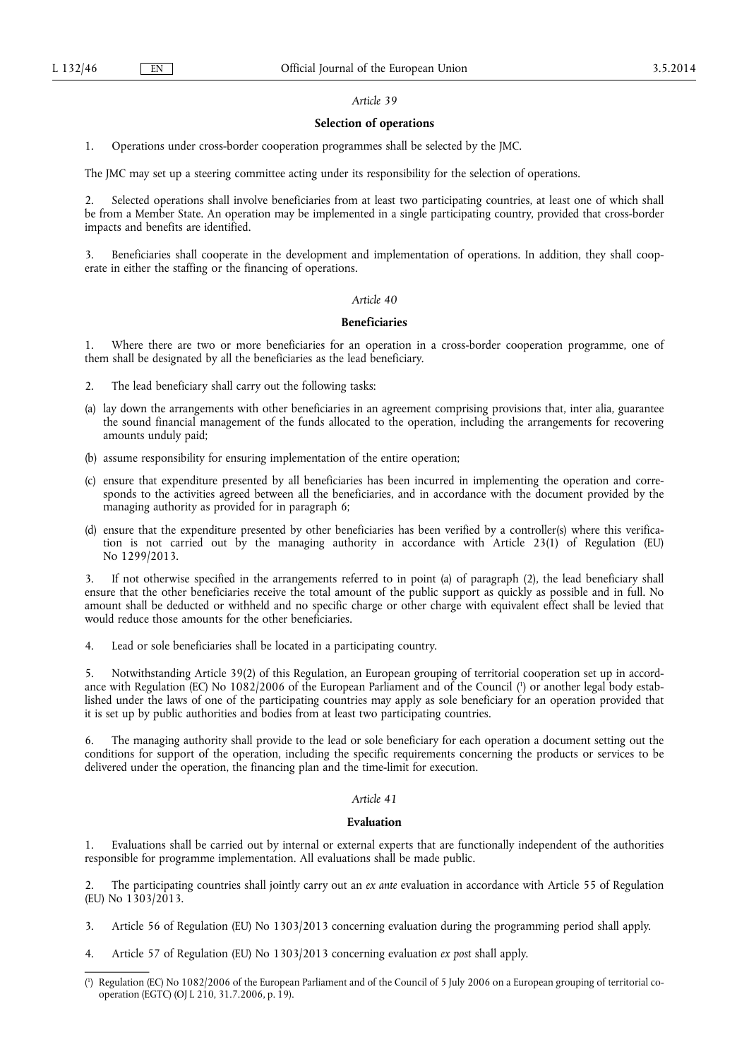#### *Article 39*

## **Selection of operations**

1. Operations under cross-border cooperation programmes shall be selected by the JMC.

The JMC may set up a steering committee acting under its responsibility for the selection of operations.

2. Selected operations shall involve beneficiaries from at least two participating countries, at least one of which shall be from a Member State. An operation may be implemented in a single participating country, provided that cross-border impacts and benefits are identified.

3. Beneficiaries shall cooperate in the development and implementation of operations. In addition, they shall cooperate in either the staffing or the financing of operations.

#### *Article 40*

## **Beneficiaries**

Where there are two or more beneficiaries for an operation in a cross-border cooperation programme, one of them shall be designated by all the beneficiaries as the lead beneficiary.

2. The lead beneficiary shall carry out the following tasks:

- (a) lay down the arrangements with other beneficiaries in an agreement comprising provisions that, inter alia, guarantee the sound financial management of the funds allocated to the operation, including the arrangements for recovering amounts unduly paid;
- (b) assume responsibility for ensuring implementation of the entire operation;
- (c) ensure that expenditure presented by all beneficiaries has been incurred in implementing the operation and corresponds to the activities agreed between all the beneficiaries, and in accordance with the document provided by the managing authority as provided for in paragraph 6;
- (d) ensure that the expenditure presented by other beneficiaries has been verified by a controller(s) where this verification is not carried out by the managing authority in accordance with Article 23(1) of Regulation (EU) No 1299/2013.

3. If not otherwise specified in the arrangements referred to in point (a) of paragraph (2), the lead beneficiary shall ensure that the other beneficiaries receive the total amount of the public support as quickly as possible and in full. No amount shall be deducted or withheld and no specific charge or other charge with equivalent effect shall be levied that would reduce those amounts for the other beneficiaries.

4. Lead or sole beneficiaries shall be located in a participating country.

5. Notwithstanding Article 39(2) of this Regulation, an European grouping of territorial cooperation set up in accordance with Regulation (EC) No 1082/2006 of the European Parliament and of the Council ( 1 ) or another legal body established under the laws of one of the participating countries may apply as sole beneficiary for an operation provided that it is set up by public authorities and bodies from at least two participating countries.

6. The managing authority shall provide to the lead or sole beneficiary for each operation a document setting out the conditions for support of the operation, including the specific requirements concerning the products or services to be delivered under the operation, the financing plan and the time-limit for execution.

## *Article 41*

## **Evaluation**

1. Evaluations shall be carried out by internal or external experts that are functionally independent of the authorities responsible for programme implementation. All evaluations shall be made public.

2. The participating countries shall jointly carry out an *ex ante* evaluation in accordance with Article 55 of Regulation (EU) No 1303/2013.

- 3. Article 56 of Regulation (EU) No 1303/2013 concerning evaluation during the programming period shall apply.
- 4. Article 57 of Regulation (EU) No 1303/2013 concerning evaluation *ex post* shall apply.

<sup>(</sup> 1 ) Regulation (EC) No 1082/2006 of the European Parliament and of the Council of 5 July 2006 on a European grouping of territorial cooperation (EGTC) (OJ L 210, 31.7.2006, p. 19).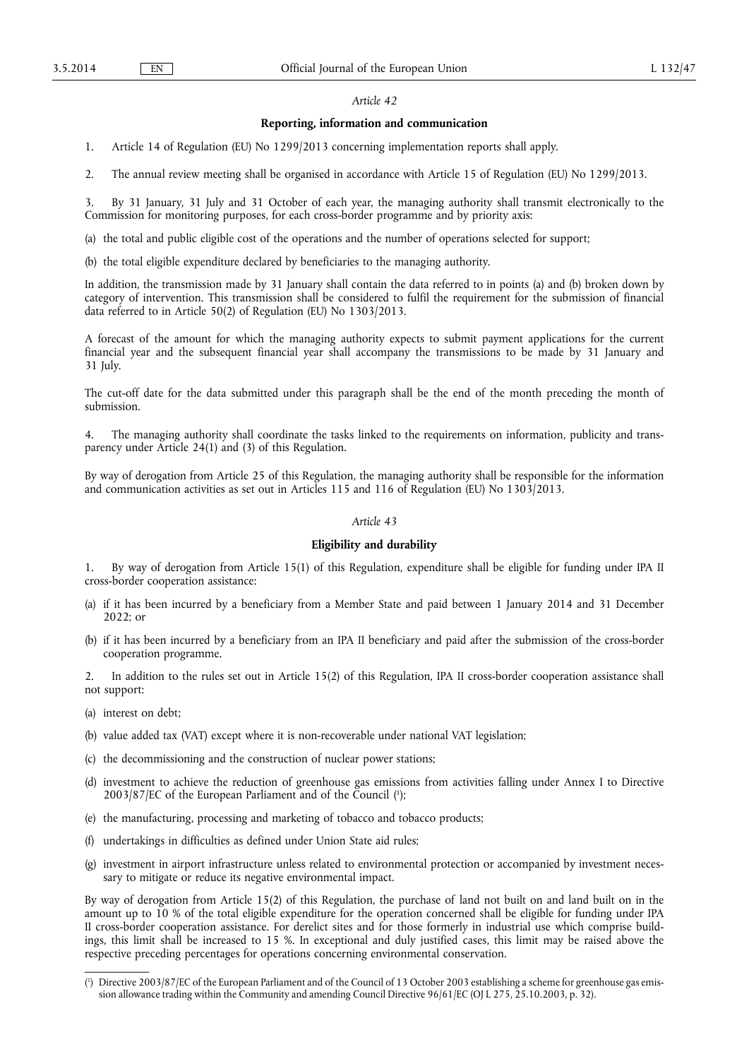## *Article 42*

#### **Reporting, information and communication**

1. Article 14 of Regulation (EU) No 1299/2013 concerning implementation reports shall apply.

2. The annual review meeting shall be organised in accordance with Article 15 of Regulation (EU) No 1299/2013.

3. By 31 January, 31 July and 31 October of each year, the managing authority shall transmit electronically to the Commission for monitoring purposes, for each cross-border programme and by priority axis:

(a) the total and public eligible cost of the operations and the number of operations selected for support;

(b) the total eligible expenditure declared by beneficiaries to the managing authority.

In addition, the transmission made by 31 January shall contain the data referred to in points (a) and (b) broken down by category of intervention. This transmission shall be considered to fulfil the requirement for the submission of financial data referred to in Article 50(2) of Regulation (EU) No 1303/2013.

A forecast of the amount for which the managing authority expects to submit payment applications for the current financial year and the subsequent financial year shall accompany the transmissions to be made by 31 January and 31 July.

The cut-off date for the data submitted under this paragraph shall be the end of the month preceding the month of submission.

4. The managing authority shall coordinate the tasks linked to the requirements on information, publicity and transparency under Article 24(1) and (3) of this Regulation.

By way of derogation from Article 25 of this Regulation, the managing authority shall be responsible for the information and communication activities as set out in Articles 115 and 116 of Regulation (EU) No 1303/2013.

# *Article 43*

#### **Eligibility and durability**

1. By way of derogation from Article 15(1) of this Regulation, expenditure shall be eligible for funding under IPA II cross-border cooperation assistance:

- (a) if it has been incurred by a beneficiary from a Member State and paid between 1 January 2014 and 31 December 2022; or
- (b) if it has been incurred by a beneficiary from an IPA II beneficiary and paid after the submission of the cross-border cooperation programme.

In addition to the rules set out in Article 15(2) of this Regulation, IPA II cross-border cooperation assistance shall not support:

- (a) interest on debt;
- (b) value added tax (VAT) except where it is non-recoverable under national VAT legislation;
- (c) the decommissioning and the construction of nuclear power stations;
- (d) investment to achieve the reduction of greenhouse gas emissions from activities falling under Annex I to Directive  $2003/87$  [EC of the European Parliament and of the Council  $(1)$ ;
- (e) the manufacturing, processing and marketing of tobacco and tobacco products;
- (f) undertakings in difficulties as defined under Union State aid rules;
- (g) investment in airport infrastructure unless related to environmental protection or accompanied by investment necessary to mitigate or reduce its negative environmental impact.

By way of derogation from Article 15(2) of this Regulation, the purchase of land not built on and land built on in the amount up to 10 % of the total eligible expenditure for the operation concerned shall be eligible for funding under IPA II cross-border cooperation assistance. For derelict sites and for those formerly in industrial use which comprise buildings, this limit shall be increased to 15 %. In exceptional and duly justified cases, this limit may be raised above the respective preceding percentages for operations concerning environmental conservation.

<sup>(</sup> 1 ) Directive 2003/87/EC of the European Parliament and of the Council of 13 October 2003 establishing a scheme for greenhouse gas emission allowance trading within the Community and amending Council Directive 96/61/EC (OJ L 275, 25.10.2003, p. 32).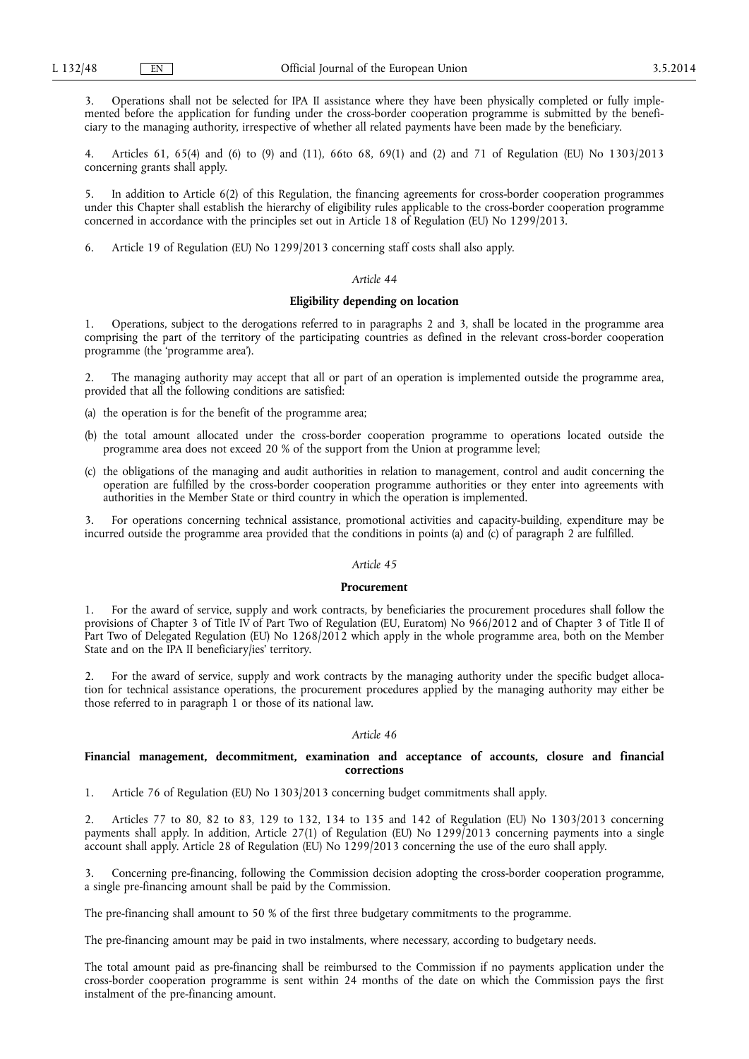3. Operations shall not be selected for IPA II assistance where they have been physically completed or fully implemented before the application for funding under the cross-border cooperation programme is submitted by the beneficiary to the managing authority, irrespective of whether all related payments have been made by the beneficiary.

4. Articles 61, 65(4) and (6) to (9) and (11), 66to 68, 69(1) and (2) and 71 of Regulation (EU) No 1303/2013 concerning grants shall apply.

5. In addition to Article 6(2) of this Regulation, the financing agreements for cross-border cooperation programmes under this Chapter shall establish the hierarchy of eligibility rules applicable to the cross-border cooperation programme concerned in accordance with the principles set out in Article 18 of Regulation (EU) No 1299/2013.

6. Article 19 of Regulation (EU) No 1299/2013 concerning staff costs shall also apply.

#### *Article 44*

## **Eligibility depending on location**

1. Operations, subject to the derogations referred to in paragraphs 2 and 3, shall be located in the programme area comprising the part of the territory of the participating countries as defined in the relevant cross-border cooperation programme (the 'programme area').

The managing authority may accept that all or part of an operation is implemented outside the programme area, provided that all the following conditions are satisfied:

- (a) the operation is for the benefit of the programme area;
- (b) the total amount allocated under the cross-border cooperation programme to operations located outside the programme area does not exceed 20 % of the support from the Union at programme level;
- (c) the obligations of the managing and audit authorities in relation to management, control and audit concerning the operation are fulfilled by the cross-border cooperation programme authorities or they enter into agreements with authorities in the Member State or third country in which the operation is implemented.

3. For operations concerning technical assistance, promotional activities and capacity-building, expenditure may be incurred outside the programme area provided that the conditions in points (a) and (c) of paragraph 2 are fulfilled.

## *Article 45*

#### **Procurement**

1. For the award of service, supply and work contracts, by beneficiaries the procurement procedures shall follow the provisions of Chapter 3 of Title IV of Part Two of Regulation (EU, Euratom) No 966/2012 and of Chapter 3 of Title II of Part Two of Delegated Regulation (EU) No 1268/2012 which apply in the whole programme area, both on the Member State and on the IPA II beneficiary/ies' territory.

2. For the award of service, supply and work contracts by the managing authority under the specific budget allocation for technical assistance operations, the procurement procedures applied by the managing authority may either be those referred to in paragraph 1 or those of its national law.

#### *Article 46*

## **Financial management, decommitment, examination and acceptance of accounts, closure and financial corrections**

1. Article 76 of Regulation (EU) No 1303/2013 concerning budget commitments shall apply.

2. Articles 77 to 80, 82 to 83, 129 to 132, 134 to 135 and 142 of Regulation (EU) No 1303/2013 concerning payments shall apply. In addition, Article 27(1) of Regulation (EU) No 1299/2013 concerning payments into a single account shall apply. Article 28 of Regulation (EU) No 1299/2013 concerning the use of the euro shall apply.

3. Concerning pre-financing, following the Commission decision adopting the cross-border cooperation programme, a single pre-financing amount shall be paid by the Commission.

The pre-financing shall amount to 50 % of the first three budgetary commitments to the programme.

The pre-financing amount may be paid in two instalments, where necessary, according to budgetary needs.

The total amount paid as pre-financing shall be reimbursed to the Commission if no payments application under the cross-border cooperation programme is sent within 24 months of the date on which the Commission pays the first instalment of the pre-financing amount.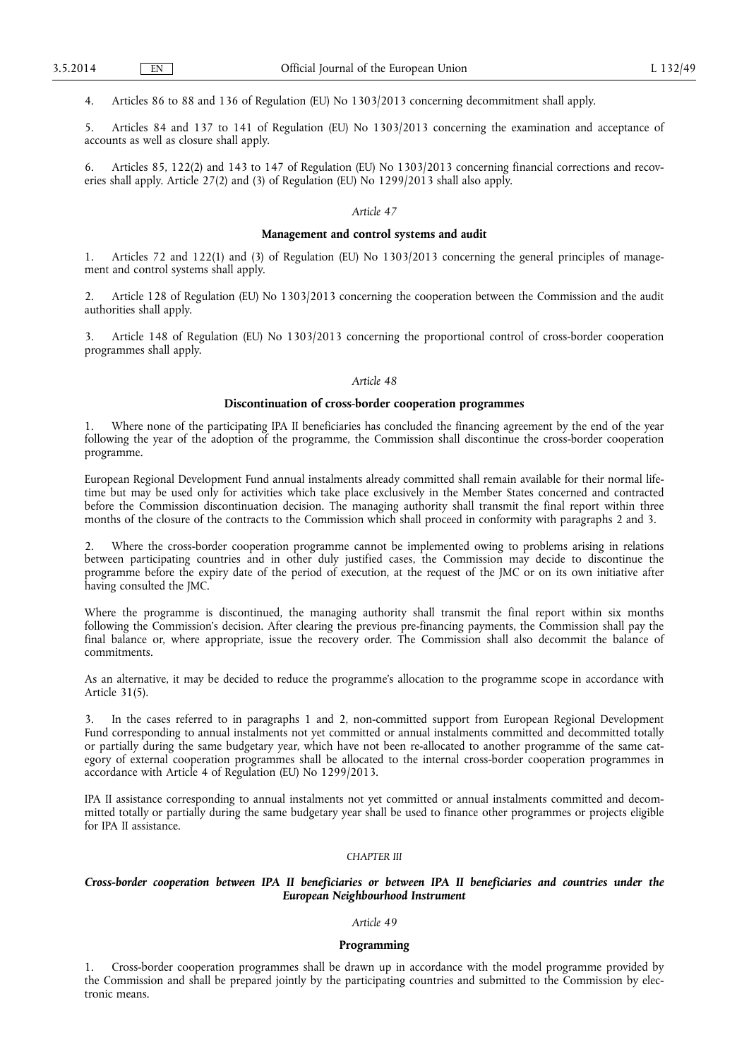4. Articles 86 to 88 and 136 of Regulation (EU) No 1303/2013 concerning decommitment shall apply.

5. Articles 84 and 137 to 141 of Regulation (EU) No 1303/2013 concerning the examination and acceptance of accounts as well as closure shall apply.

6. Articles 85, 122(2) and 143 to 147 of Regulation (EU) No 1303/2013 concerning financial corrections and recoveries shall apply. Article 27(2) and (3) of Regulation (EU) No 1299/2013 shall also apply.

## *Article 47*

#### **Management and control systems and audit**

1. Articles 72 and 122(1) and (3) of Regulation (EU) No 1303/2013 concerning the general principles of management and control systems shall apply.

2. Article 128 of Regulation (EU) No 1303/2013 concerning the cooperation between the Commission and the audit authorities shall apply.

3. Article 148 of Regulation (EU) No 1303/2013 concerning the proportional control of cross-border cooperation programmes shall apply.

## *Article 48*

## **Discontinuation of cross-border cooperation programmes**

Where none of the participating IPA II beneficiaries has concluded the financing agreement by the end of the year following the year of the adoption of the programme, the Commission shall discontinue the cross-border cooperation programme.

European Regional Development Fund annual instalments already committed shall remain available for their normal lifetime but may be used only for activities which take place exclusively in the Member States concerned and contracted before the Commission discontinuation decision. The managing authority shall transmit the final report within three months of the closure of the contracts to the Commission which shall proceed in conformity with paragraphs 2 and 3.

2. Where the cross-border cooperation programme cannot be implemented owing to problems arising in relations between participating countries and in other duly justified cases, the Commission may decide to discontinue the programme before the expiry date of the period of execution, at the request of the JMC or on its own initiative after having consulted the JMC.

Where the programme is discontinued, the managing authority shall transmit the final report within six months following the Commission's decision. After clearing the previous pre-financing payments, the Commission shall pay the final balance or, where appropriate, issue the recovery order. The Commission shall also decommit the balance of commitments.

As an alternative, it may be decided to reduce the programme's allocation to the programme scope in accordance with Article 31(5).

In the cases referred to in paragraphs 1 and 2, non-committed support from European Regional Development Fund corresponding to annual instalments not yet committed or annual instalments committed and decommitted totally or partially during the same budgetary year, which have not been re-allocated to another programme of the same category of external cooperation programmes shall be allocated to the internal cross-border cooperation programmes in accordance with Article 4 of Regulation (EU) No 1299/2013.

IPA II assistance corresponding to annual instalments not yet committed or annual instalments committed and decommitted totally or partially during the same budgetary year shall be used to finance other programmes or projects eligible for IPA II assistance.

#### *CHAPTER III*

## *Cross-border cooperation between IPA II beneficiaries or between IPA II beneficiaries and countries under the European Neighbourhood Instrument*

## *Article 49*

## **Programming**

1. Cross-border cooperation programmes shall be drawn up in accordance with the model programme provided by the Commission and shall be prepared jointly by the participating countries and submitted to the Commission by electronic means.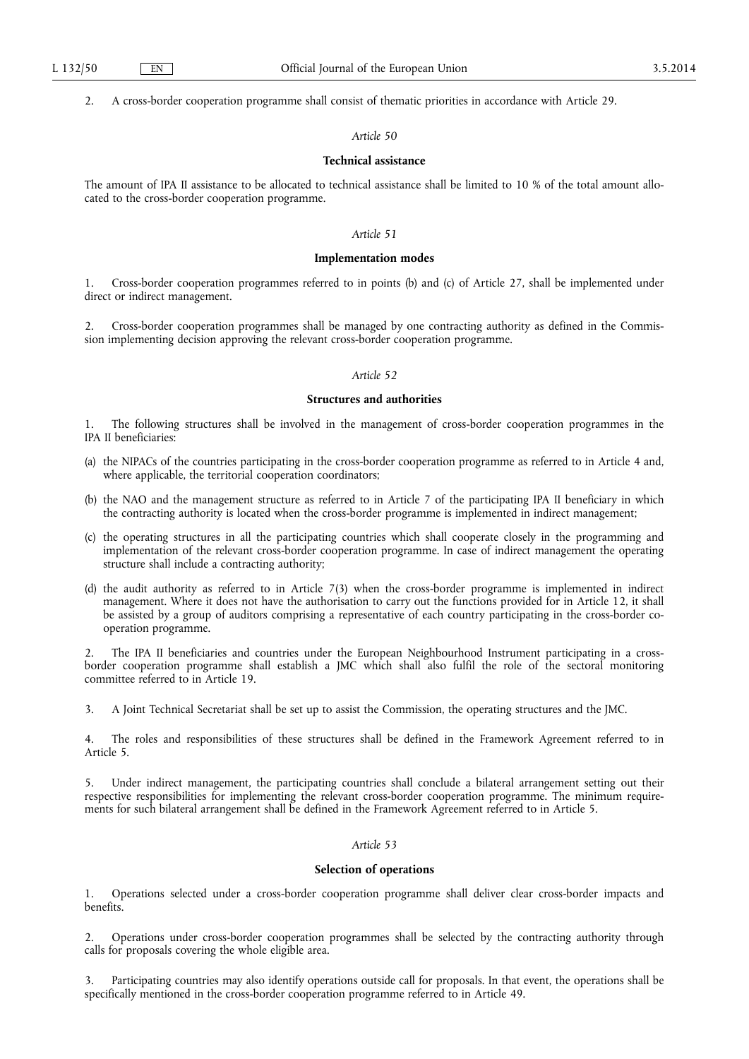2. A cross-border cooperation programme shall consist of thematic priorities in accordance with Article 29.

## *Article 50*

## **Technical assistance**

The amount of IPA II assistance to be allocated to technical assistance shall be limited to 10 % of the total amount allocated to the cross-border cooperation programme.

# *Article 51*

#### **Implementation modes**

1. Cross-border cooperation programmes referred to in points (b) and (c) of Article 27, shall be implemented under direct or indirect management.

2. Cross-border cooperation programmes shall be managed by one contracting authority as defined in the Commission implementing decision approving the relevant cross-border cooperation programme.

## *Article 52*

## **Structures and authorities**

1. The following structures shall be involved in the management of cross-border cooperation programmes in the IPA II beneficiaries:

- (a) the NIPACs of the countries participating in the cross-border cooperation programme as referred to in Article 4 and, where applicable, the territorial cooperation coordinators;
- (b) the NAO and the management structure as referred to in Article 7 of the participating IPA II beneficiary in which the contracting authority is located when the cross-border programme is implemented in indirect management;
- (c) the operating structures in all the participating countries which shall cooperate closely in the programming and implementation of the relevant cross-border cooperation programme. In case of indirect management the operating structure shall include a contracting authority;
- (d) the audit authority as referred to in Article 7(3) when the cross-border programme is implemented in indirect management. Where it does not have the authorisation to carry out the functions provided for in Article 12, it shall be assisted by a group of auditors comprising a representative of each country participating in the cross-border cooperation programme.

2. The IPA II beneficiaries and countries under the European Neighbourhood Instrument participating in a crossborder cooperation programme shall establish a JMC which shall also fulfil the role of the sectoral monitoring committee referred to in Article 19.

3. A Joint Technical Secretariat shall be set up to assist the Commission, the operating structures and the JMC.

4. The roles and responsibilities of these structures shall be defined in the Framework Agreement referred to in Article 5.

Under indirect management, the participating countries shall conclude a bilateral arrangement setting out their respective responsibilities for implementing the relevant cross-border cooperation programme. The minimum requirements for such bilateral arrangement shall be defined in the Framework Agreement referred to in Article 5.

# *Article 53*

## **Selection of operations**

1. Operations selected under a cross-border cooperation programme shall deliver clear cross-border impacts and benefits.

2. Operations under cross-border cooperation programmes shall be selected by the contracting authority through calls for proposals covering the whole eligible area.

Participating countries may also identify operations outside call for proposals. In that event, the operations shall be specifically mentioned in the cross-border cooperation programme referred to in Article 49.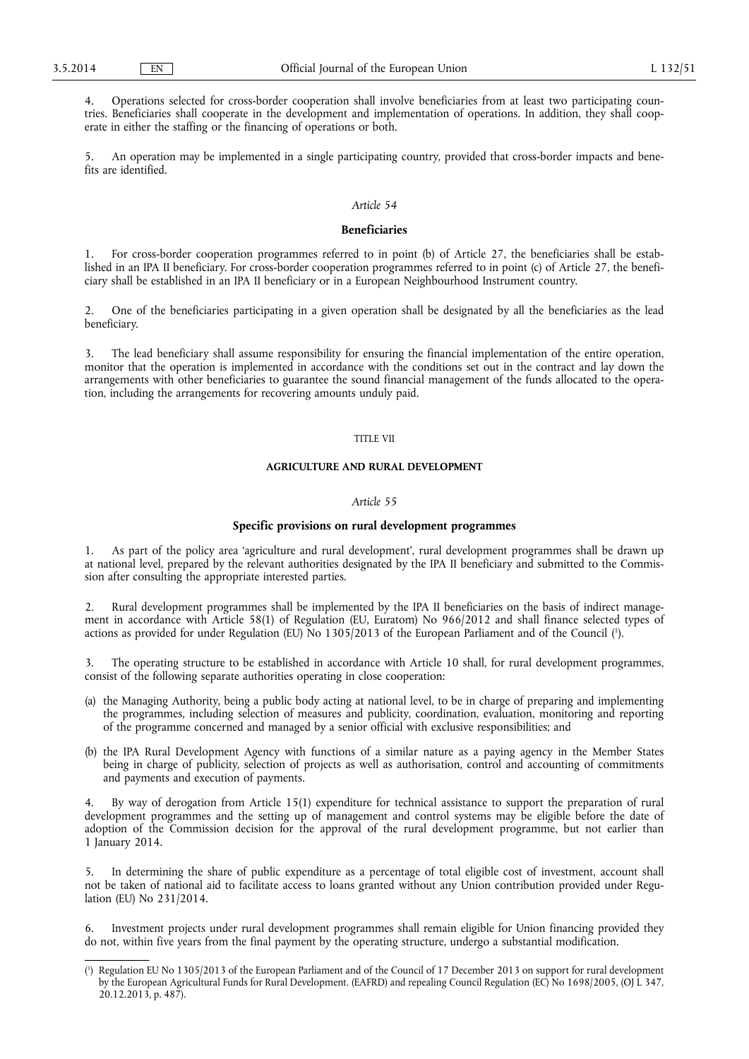4. Operations selected for cross-border cooperation shall involve beneficiaries from at least two participating countries. Beneficiaries shall cooperate in the development and implementation of operations. In addition, they shall cooperate in either the staffing or the financing of operations or both.

5. An operation may be implemented in a single participating country, provided that cross-border impacts and benefits are identified.

## *Article 54*

## **Beneficiaries**

1. For cross-border cooperation programmes referred to in point (b) of Article 27, the beneficiaries shall be established in an IPA II beneficiary. For cross-border cooperation programmes referred to in point (c) of Article 27, the beneficiary shall be established in an IPA II beneficiary or in a European Neighbourhood Instrument country.

2. One of the beneficiaries participating in a given operation shall be designated by all the beneficiaries as the lead beneficiary.

3. The lead beneficiary shall assume responsibility for ensuring the financial implementation of the entire operation, monitor that the operation is implemented in accordance with the conditions set out in the contract and lay down the arrangements with other beneficiaries to guarantee the sound financial management of the funds allocated to the operation, including the arrangements for recovering amounts unduly paid.

## TITLE VII

## **AGRICULTURE AND RURAL DEVELOPMENT**

#### *Article 55*

### **Specific provisions on rural development programmes**

1. As part of the policy area 'agriculture and rural development', rural development programmes shall be drawn up at national level, prepared by the relevant authorities designated by the IPA II beneficiary and submitted to the Commission after consulting the appropriate interested parties.

2. Rural development programmes shall be implemented by the IPA II beneficiaries on the basis of indirect management in accordance with Article 58(1) of Regulation (EU, Euratom) No 966/2012 and shall finance selected types of actions as provided for under Regulation (EU) No 1305/2013 of the European Parliament and of the Council ( 1 ).

3. The operating structure to be established in accordance with Article 10 shall, for rural development programmes, consist of the following separate authorities operating in close cooperation:

- (a) the Managing Authority, being a public body acting at national level, to be in charge of preparing and implementing the programmes, including selection of measures and publicity, coordination, evaluation, monitoring and reporting of the programme concerned and managed by a senior official with exclusive responsibilities; and
- (b) the IPA Rural Development Agency with functions of a similar nature as a paying agency in the Member States being in charge of publicity, selection of projects as well as authorisation, control and accounting of commitments and payments and execution of payments.

4. By way of derogation from Article 15(1) expenditure for technical assistance to support the preparation of rural development programmes and the setting up of management and control systems may be eligible before the date of adoption of the Commission decision for the approval of the rural development programme, but not earlier than 1 January 2014.

5. In determining the share of public expenditure as a percentage of total eligible cost of investment, account shall not be taken of national aid to facilitate access to loans granted without any Union contribution provided under Regulation (EU) No 231/2014.

Investment projects under rural development programmes shall remain eligible for Union financing provided they do not, within five years from the final payment by the operating structure, undergo a substantial modification.

<sup>(</sup> 1 ) Regulation EU No 1305/2013 of the European Parliament and of the Council of 17 December 2013 on support for rural development by the European Agricultural Funds for Rural Development. (EAFRD) and repealing Council Regulation (EC) No 1698/2005, (OJ L 347, 20.12.2013, p. 487).